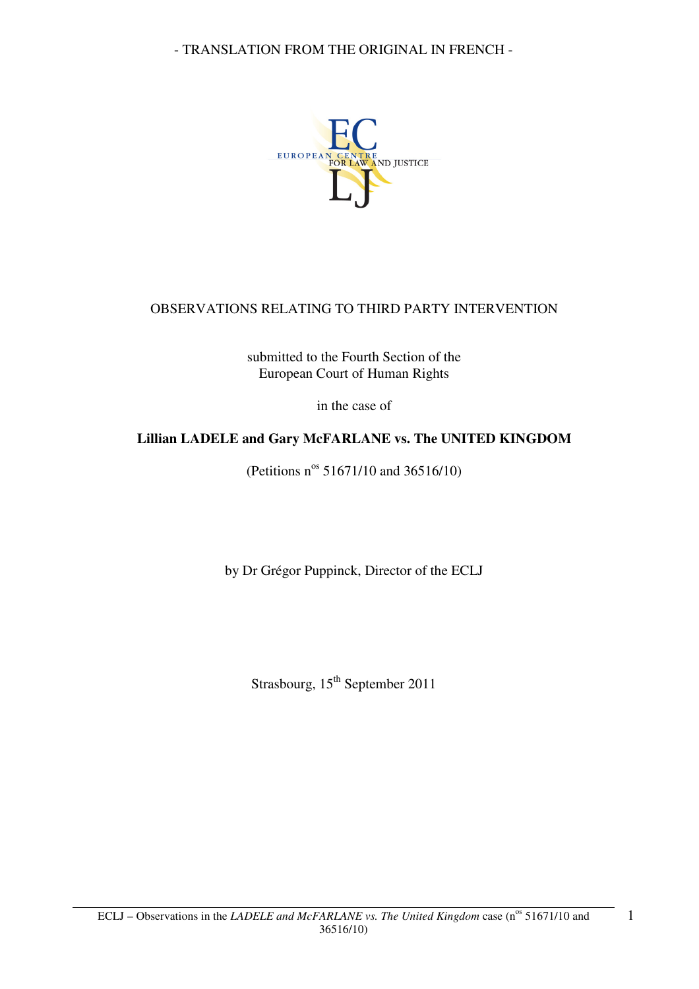

## OBSERVATIONS RELATING TO THIRD PARTY INTERVENTION

submitted to the Fourth Section of the European Court of Human Rights

in the case of

## **Lillian LADELE and Gary McFARLANE vs. The UNITED KINGDOM**

(Petitions n<sup>os</sup> 51671/10 and 36516/10)

by Dr Grégor Puppinck, Director of the ECLJ

Strasbourg, 15<sup>th</sup> September 2011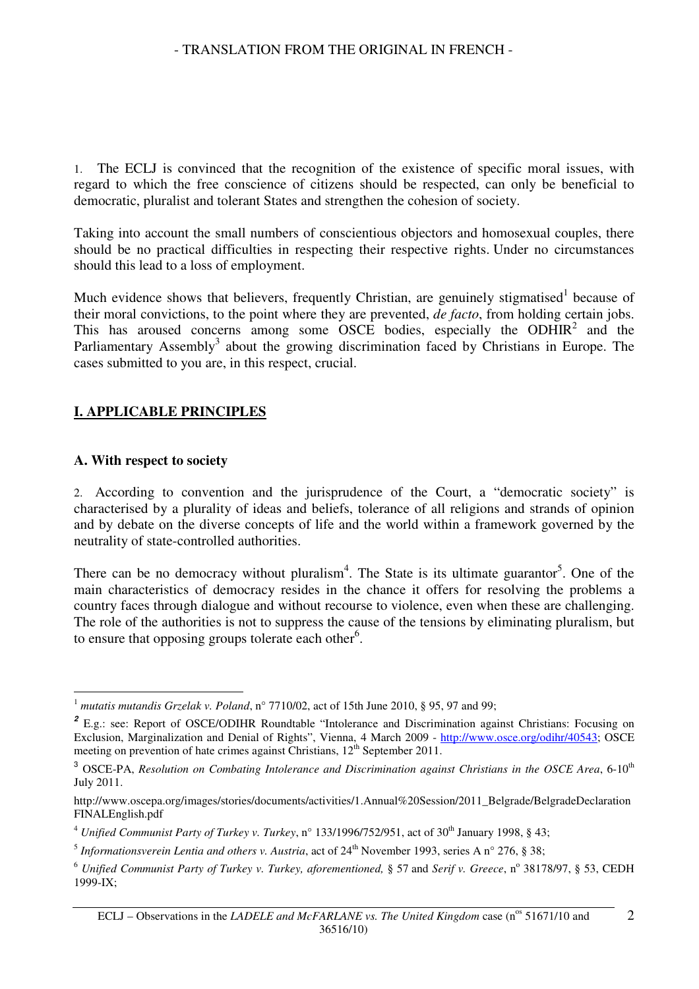1. The ECLJ is convinced that the recognition of the existence of specific moral issues, with regard to which the free conscience of citizens should be respected, can only be beneficial to democratic, pluralist and tolerant States and strengthen the cohesion of society.

Taking into account the small numbers of conscientious objectors and homosexual couples, there should be no practical difficulties in respecting their respective rights. Under no circumstances should this lead to a loss of employment.

Much evidence shows that believers, frequently Christian, are genuinely stigmatised because of their moral convictions, to the point where they are prevented, *de facto*, from holding certain jobs. This has aroused concerns among some OSCE bodies, especially the ODHIR<sup>2</sup> and the Parliamentary Assembly<sup>3</sup> about the growing discrimination faced by Christians in Europe. The cases submitted to you are, in this respect, crucial.

## **I. APPLICABLE PRINCIPLES**

#### **A. With respect to society**

2. According to convention and the jurisprudence of the Court, a "democratic society" is characterised by a plurality of ideas and beliefs, tolerance of all religions and strands of opinion and by debate on the diverse concepts of life and the world within a framework governed by the neutrality of state-controlled authorities.

There can be no democracy without pluralism<sup>4</sup>. The State is its ultimate guarantor<sup>5</sup>. One of the main characteristics of democracy resides in the chance it offers for resolving the problems a country faces through dialogue and without recourse to violence, even when these are challenging. The role of the authorities is not to suppress the cause of the tensions by eliminating pluralism, but to ensure that opposing groups tolerate each other<sup>6</sup>.

 $\overline{a}$ <sup>1</sup> mutatis mutandis Grzelak v. Poland, n° 7710/02, act of 15th June 2010, § 95, 97 and 99;

<sup>&</sup>lt;sup>2</sup> E.g.: see: Report of OSCE/ODIHR Roundtable "Intolerance and Discrimination against Christians: Focusing on Exclusion, Marginalization and Denial of Rights", Vienna, 4 March 2009 - http://www.osce.org/odihr/40543; OSCE meeting on prevention of hate crimes against Christians, 12<sup>th</sup> September 2011.

<sup>&</sup>lt;sup>3</sup> OSCE-PA, *Resolution on Combating Intolerance and Discrimination against Christians in the OSCE Area, 6-10<sup>th</sup>* July 2011.

http://www.oscepa.org/images/stories/documents/activities/1.Annual%20Session/2011\_Belgrade/BelgradeDeclaration FINALEnglish.pdf

 $^4$  *Unified Communist Party of Turkey v. Turkey, n<sup>o</sup> 133/1996/752/951, act of 30<sup>th</sup> January 1998, § 43;* 

<sup>&</sup>lt;sup>5</sup> Informationsverein Lentia and others v. Austria, act of  $24<sup>th</sup>$  November 1993, series A n° 276, § 38;

<sup>&</sup>lt;sup>6</sup> Unified Communist Party of Turkey v. Turkey, aforementioned, § 57 and Serif v. Greece, n<sup>o</sup> 38178/97, § 53, CEDH 1999-IX;

<sup>2</sup>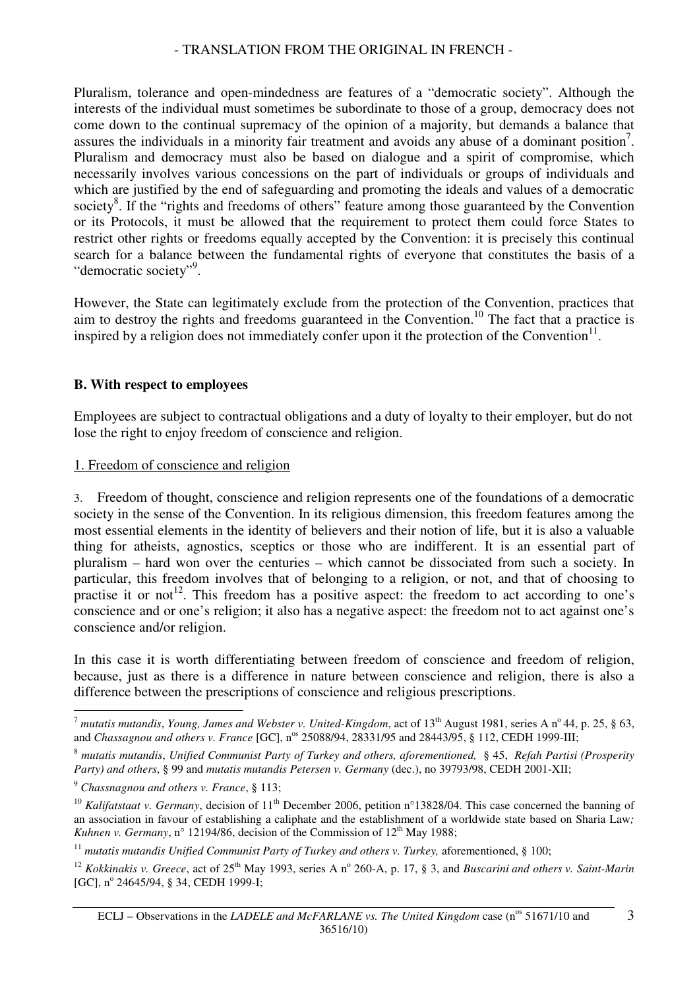Pluralism, tolerance and open-mindedness are features of a "democratic society". Although the interests of the individual must sometimes be subordinate to those of a group, democracy does not come down to the continual supremacy of the opinion of a majority, but demands a balance that assures the individuals in a minority fair treatment and avoids any abuse of a dominant position<sup>7</sup>. Pluralism and democracy must also be based on dialogue and a spirit of compromise, which necessarily involves various concessions on the part of individuals or groups of individuals and which are justified by the end of safeguarding and promoting the ideals and values of a democratic society<sup>8</sup>. If the "rights and freedoms of others" feature among those guaranteed by the Convention or its Protocols, it must be allowed that the requirement to protect them could force States to restrict other rights or freedoms equally accepted by the Convention: it is precisely this continual search for a balance between the fundamental rights of everyone that constitutes the basis of a "democratic society".

However, the State can legitimately exclude from the protection of the Convention, practices that aim to destroy the rights and freedoms guaranteed in the Convention.<sup>10</sup> The fact that a practice is inspired by a religion does not immediately confer upon it the protection of the Convention<sup>11</sup>.

## **B. With respect to employees**

Employees are subject to contractual obligations and a duty of loyalty to their employer, but do not lose the right to enjoy freedom of conscience and religion.

#### 1. Freedom of conscience and religion

3. Freedom of thought, conscience and religion represents one of the foundations of a democratic society in the sense of the Convention. In its religious dimension, this freedom features among the most essential elements in the identity of believers and their notion of life, but it is also a valuable thing for atheists, agnostics, sceptics or those who are indifferent. It is an essential part of pluralism – hard won over the centuries – which cannot be dissociated from such a society. In particular, this freedom involves that of belonging to a religion, or not, and that of choosing to practise it or not<sup>12</sup>. This freedom has a positive aspect: the freedom to act according to one's conscience and or one's religion; it also has a negative aspect: the freedom not to act against one's conscience and/or religion.

In this case it is worth differentiating between freedom of conscience and freedom of religion, because, just as there is a difference in nature between conscience and religion, there is also a difference between the prescriptions of conscience and religious prescriptions.

 $\overline{a}$  $^7$  mutatis mutandis, Young, James and Webster v. United-Kingdom, act of 13<sup>th</sup> August 1981, series A n<sup>o</sup> 44, p. 25, § 63, and *Chassagnou and others v. France* [GC], n<sup>os</sup> 25088/94, 28331/95 and 28443/95, § 112, CEDH 1999-III;

<sup>8</sup> *mutatis mutandis*, *Unified Communist Party of Turkey and others, aforementioned,* § 45, *Refah Partisi (Prosperity Party) and others*, § 99 and *mutatis mutandis Petersen v. Germany* (dec.), no 39793/98, CEDH 2001-XII;

<sup>9</sup> *Chassnagnou and others v. France*, § 113;

<sup>&</sup>lt;sup>10</sup> Kalifatstaat v. Germany, decision of 11<sup>th</sup> December 2006, petition n°13828/04. This case concerned the banning of an association in favour of establishing a caliphate and the establishment of a worldwide state based on Sharia Law*; Kuhnen v. Germany*, n° 12194/86, decision of the Commission of  $12<sup>th</sup>$  May 1988;

<sup>11</sup> *mutatis mutandis Unified Communist Party of Turkey and others v. Turkey,* aforementioned, § 100;

<sup>&</sup>lt;sup>12</sup> *Kokkinakis v. Greece*, act of 25<sup>th</sup> May 1993, series A n° 260-A, p. 17, § 3, and *Buscarini and others v. Saint-Marin* [GC], nº 24645/94, § 34, CEDH 1999-I;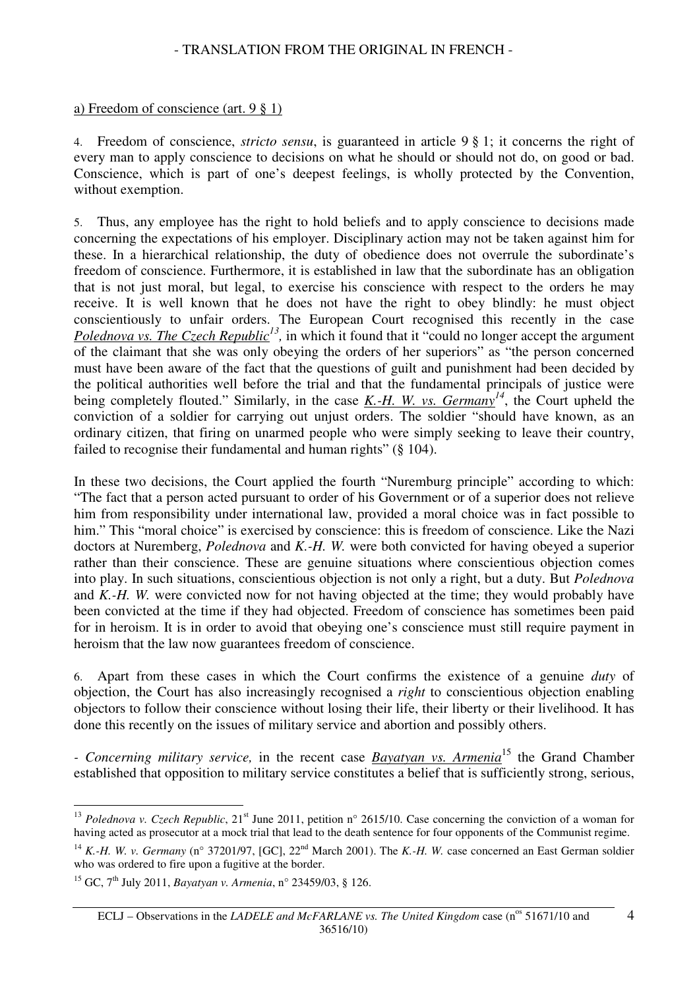#### a) Freedom of conscience (art. 9 § 1)

4. Freedom of conscience, *stricto sensu*, is guaranteed in article 9 § 1; it concerns the right of every man to apply conscience to decisions on what he should or should not do, on good or bad. Conscience, which is part of one's deepest feelings, is wholly protected by the Convention, without exemption.

5. Thus, any employee has the right to hold beliefs and to apply conscience to decisions made concerning the expectations of his employer. Disciplinary action may not be taken against him for these. In a hierarchical relationship, the duty of obedience does not overrule the subordinate's freedom of conscience. Furthermore, it is established in law that the subordinate has an obligation that is not just moral, but legal, to exercise his conscience with respect to the orders he may receive. It is well known that he does not have the right to obey blindly: he must object conscientiously to unfair orders. The European Court recognised this recently in the case *Polednova vs. The Czech Republic<sup>13</sup>*, in which it found that it "could no longer accept the argument of the claimant that she was only obeying the orders of her superiors" as "the person concerned must have been aware of the fact that the questions of guilt and punishment had been decided by the political authorities well before the trial and that the fundamental principals of justice were being completely flouted." Similarly, in the case *K.-H. W. vs. Germany<sup>14</sup>*, the Court upheld the conviction of a soldier for carrying out unjust orders. The soldier "should have known, as an ordinary citizen, that firing on unarmed people who were simply seeking to leave their country, failed to recognise their fundamental and human rights" (§ 104).

In these two decisions, the Court applied the fourth "Nuremburg principle" according to which: "The fact that a person acted pursuant to order of his Government or of a superior does not relieve him from responsibility under international law, provided a moral choice was in fact possible to him." This "moral choice" is exercised by conscience: this is freedom of conscience. Like the Nazi doctors at Nuremberg, *Polednova* and *K.-H. W.* were both convicted for having obeyed a superior rather than their conscience. These are genuine situations where conscientious objection comes into play. In such situations, conscientious objection is not only a right, but a duty. But *Polednova*  and *K.-H. W.* were convicted now for not having objected at the time; they would probably have been convicted at the time if they had objected. Freedom of conscience has sometimes been paid for in heroism. It is in order to avoid that obeying one's conscience must still require payment in heroism that the law now guarantees freedom of conscience.

6. Apart from these cases in which the Court confirms the existence of a genuine *duty* of objection, the Court has also increasingly recognised a *right* to conscientious objection enabling objectors to follow their conscience without losing their life, their liberty or their livelihood. It has done this recently on the issues of military service and abortion and possibly others.

*- Concerning military service,* in the recent case *Bayatyan vs. Armenia*<sup>15</sup> the Grand Chamber established that opposition to military service constitutes a belief that is sufficiently strong, serious,

 $\overline{a}$ 

<sup>&</sup>lt;sup>13</sup> Polednova v. Czech Republic, 21<sup>st</sup> June 2011, petition n° 2615/10. Case concerning the conviction of a woman for having acted as prosecutor at a mock trial that lead to the death sentence for four opponents of the Communist regime.

<sup>&</sup>lt;sup>14</sup> *K.-H. W. v. Germany* (n° 37201/97, [GC], 22<sup>nd</sup> March 2001). The *K.-H. W.* case concerned an East German soldier who was ordered to fire upon a fugitive at the border.

<sup>15</sup> GC, 7th July 2011, *Bayatyan v. Armenia*, n° 23459/03, § 126.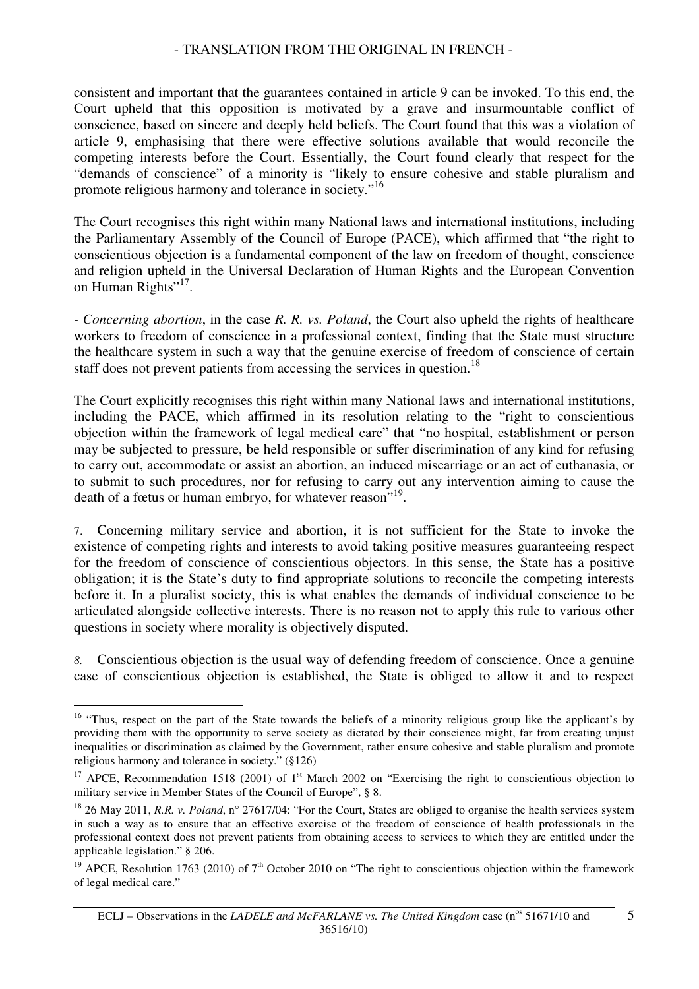consistent and important that the guarantees contained in article 9 can be invoked. To this end, the Court upheld that this opposition is motivated by a grave and insurmountable conflict of conscience, based on sincere and deeply held beliefs. The Court found that this was a violation of article 9, emphasising that there were effective solutions available that would reconcile the competing interests before the Court. Essentially, the Court found clearly that respect for the "demands of conscience" of a minority is "likely to ensure cohesive and stable pluralism and promote religious harmony and tolerance in society."<sup>16</sup>

The Court recognises this right within many National laws and international institutions, including the Parliamentary Assembly of the Council of Europe (PACE), which affirmed that "the right to conscientious objection is a fundamental component of the law on freedom of thought, conscience and religion upheld in the Universal Declaration of Human Rights and the European Convention on Human Rights"<sup>17</sup>.

*- Concerning abortion*, in the case *R. R. vs. Poland*, the Court also upheld the rights of healthcare workers to freedom of conscience in a professional context, finding that the State must structure the healthcare system in such a way that the genuine exercise of freedom of conscience of certain staff does not prevent patients from accessing the services in question.<sup>18</sup>

The Court explicitly recognises this right within many National laws and international institutions, including the PACE, which affirmed in its resolution relating to the "right to conscientious objection within the framework of legal medical care" that "no hospital, establishment or person may be subjected to pressure, be held responsible or suffer discrimination of any kind for refusing to carry out, accommodate or assist an abortion, an induced miscarriage or an act of euthanasia, or to submit to such procedures, nor for refusing to carry out any intervention aiming to cause the death of a fœtus or human embryo, for whatever reason"<sup>19</sup>.

7. Concerning military service and abortion, it is not sufficient for the State to invoke the existence of competing rights and interests to avoid taking positive measures guaranteeing respect for the freedom of conscience of conscientious objectors. In this sense, the State has a positive obligation; it is the State's duty to find appropriate solutions to reconcile the competing interests before it. In a pluralist society, this is what enables the demands of individual conscience to be articulated alongside collective interests. There is no reason not to apply this rule to various other questions in society where morality is objectively disputed.

*8.* Conscientious objection is the usual way of defending freedom of conscience. Once a genuine case of conscientious objection is established, the State is obliged to allow it and to respect

 $\overline{a}$ 

<sup>&</sup>lt;sup>16</sup> "Thus, respect on the part of the State towards the beliefs of a minority religious group like the applicant's by providing them with the opportunity to serve society as dictated by their conscience might, far from creating unjust inequalities or discrimination as claimed by the Government, rather ensure cohesive and stable pluralism and promote religious harmony and tolerance in society." (§126)

<sup>&</sup>lt;sup>17</sup> APCE, Recommendation 1518 (2001) of 1<sup>st</sup> March 2002 on "Exercising the right to conscientious objection to military service in Member States of the Council of Europe", § 8.

<sup>&</sup>lt;sup>18</sup> 26 May 2011, *R.R. v. Poland*, n° 27617/04: "For the Court, States are obliged to organise the health services system in such a way as to ensure that an effective exercise of the freedom of conscience of health professionals in the professional context does not prevent patients from obtaining access to services to which they are entitled under the applicable legislation." § 206.

<sup>&</sup>lt;sup>19</sup> APCE, Resolution 1763 (2010) of 7<sup>th</sup> October 2010 on "The right to conscientious objection within the framework of legal medical care."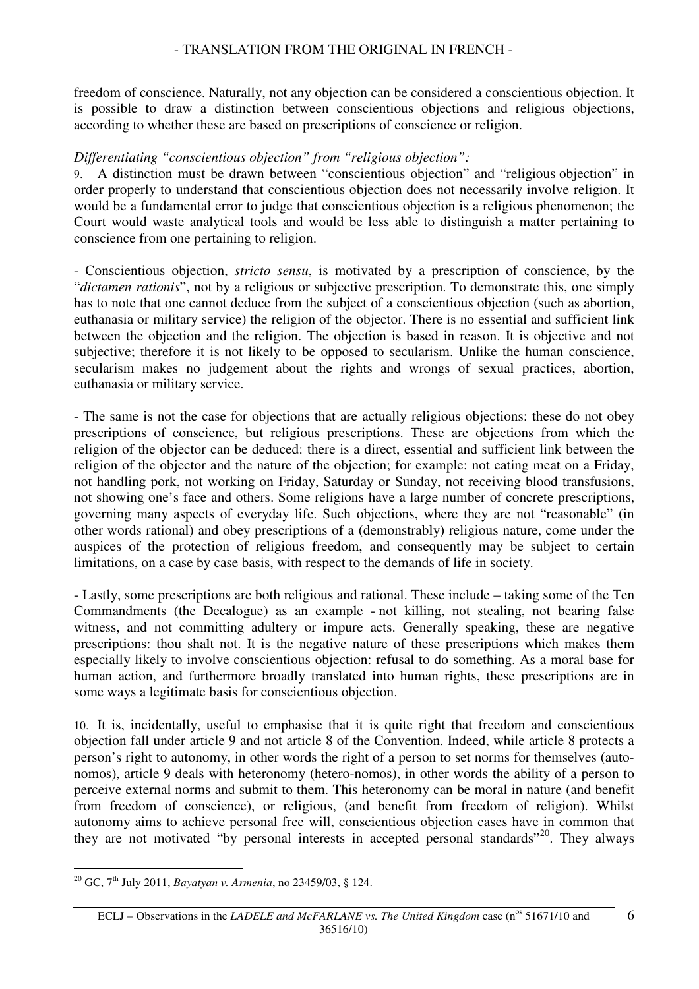freedom of conscience. Naturally, not any objection can be considered a conscientious objection. It is possible to draw a distinction between conscientious objections and religious objections, according to whether these are based on prescriptions of conscience or religion.

## *Differentiating "conscientious objection" from "religious objection":*

9. A distinction must be drawn between "conscientious objection" and "religious objection" in order properly to understand that conscientious objection does not necessarily involve religion. It would be a fundamental error to judge that conscientious objection is a religious phenomenon; the Court would waste analytical tools and would be less able to distinguish a matter pertaining to conscience from one pertaining to religion.

- Conscientious objection, *stricto sensu*, is motivated by a prescription of conscience, by the "*dictamen rationis*", not by a religious or subjective prescription. To demonstrate this, one simply has to note that one cannot deduce from the subject of a conscientious objection (such as abortion, euthanasia or military service) the religion of the objector. There is no essential and sufficient link between the objection and the religion. The objection is based in reason. It is objective and not subjective; therefore it is not likely to be opposed to secularism. Unlike the human conscience, secularism makes no judgement about the rights and wrongs of sexual practices, abortion, euthanasia or military service.

- The same is not the case for objections that are actually religious objections: these do not obey prescriptions of conscience, but religious prescriptions. These are objections from which the religion of the objector can be deduced: there is a direct, essential and sufficient link between the religion of the objector and the nature of the objection; for example: not eating meat on a Friday, not handling pork, not working on Friday, Saturday or Sunday, not receiving blood transfusions, not showing one's face and others. Some religions have a large number of concrete prescriptions, governing many aspects of everyday life. Such objections, where they are not "reasonable" (in other words rational) and obey prescriptions of a (demonstrably) religious nature, come under the auspices of the protection of religious freedom, and consequently may be subject to certain limitations, on a case by case basis, with respect to the demands of life in society.

- Lastly, some prescriptions are both religious and rational. These include – taking some of the Ten Commandments (the Decalogue) as an example - not killing, not stealing, not bearing false witness, and not committing adultery or impure acts. Generally speaking, these are negative prescriptions: thou shalt not. It is the negative nature of these prescriptions which makes them especially likely to involve conscientious objection: refusal to do something. As a moral base for human action, and furthermore broadly translated into human rights, these prescriptions are in some ways a legitimate basis for conscientious objection.

10. It is, incidentally, useful to emphasise that it is quite right that freedom and conscientious objection fall under article 9 and not article 8 of the Convention. Indeed, while article 8 protects a person's right to autonomy, in other words the right of a person to set norms for themselves (autonomos), article 9 deals with heteronomy (hetero-nomos), in other words the ability of a person to perceive external norms and submit to them. This heteronomy can be moral in nature (and benefit from freedom of conscience), or religious, (and benefit from freedom of religion). Whilst autonomy aims to achieve personal free will, conscientious objection cases have in common that they are not motivated "by personal interests in accepted personal standards"<sup>20</sup>. They always

 $\overline{a}$ <sup>20</sup> GC, 7th July 2011, *Bayatyan v. Armenia*, no 23459/03, § 124.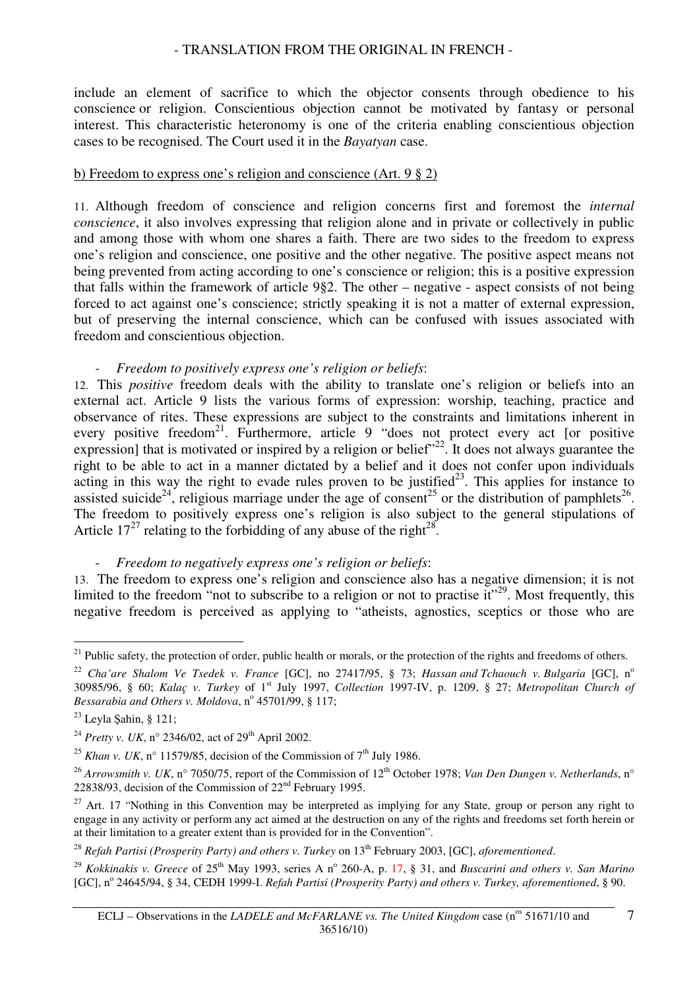include an element of sacrifice to which the objector consents through obedience to his conscience or religion. Conscientious objection cannot be motivated by fantasy or personal interest. This characteristic heteronomy is one of the criteria enabling conscientious objection cases to be recognised. The Court used it in the *Bayatyan* case.

### b) Freedom to express one's religion and conscience (Art. 9 § 2)

11. Although freedom of conscience and religion concerns first and foremost the *internal conscience*, it also involves expressing that religion alone and in private or collectively in public and among those with whom one shares a faith. There are two sides to the freedom to express one's religion and conscience, one positive and the other negative. The positive aspect means not being prevented from acting according to one's conscience or religion; this is a positive expression that falls within the framework of article 9§2. The other – negative - aspect consists of not being forced to act against one's conscience; strictly speaking it is not a matter of external expression, but of preserving the internal conscience, which can be confused with issues associated with freedom and conscientious objection.

## *- Freedom to positively express one's religion or beliefs*:

12. This *positive* freedom deals with the ability to translate one's religion or beliefs into an external act. Article 9 lists the various forms of expression: worship, teaching, practice and observance of rites. These expressions are subject to the constraints and limitations inherent in every positive freedom<sup>21</sup>. Furthermore, article 9 "does not protect every act [or positive expression] that is motivated or inspired by a religion or belief $^{22}$ . It does not always guarantee the right to be able to act in a manner dictated by a belief and it does not confer upon individuals acting in this way the right to evade rules proven to be justified<sup>23</sup>. This applies for instance to assisted suicide<sup>24</sup>, religious marriage under the age of consent<sup>25</sup> or the distribution of pamphlets<sup>26</sup>. The freedom to positively express one's religion is also subject to the general stipulations of Article  $17^{27}$  relating to the forbidding of any abuse of the right<sup>28</sup>.

## - *Freedom to negatively express one's religion or beliefs*:

13. The freedom to express one's religion and conscience also has a negative dimension; it is not limited to the freedom "not to subscribe to a religion or not to practise it"<sup>29</sup>. Most frequently, this negative freedom is perceived as applying to "atheists, agnostics, sceptics or those who are

 $\overline{a}$ <sup>21</sup> Public safety, the protection of order, public health or morals, or the protection of the rights and freedoms of others.

<sup>&</sup>lt;sup>22</sup> *Cha'are Shalom Ve Tsedek v. France* [GC], no 27417/95, § 73; *Hassan and Tchaouch v. Bulgaria* [GC], n<sup>o</sup> 30985/96, § 60; *Kalaç v. Turkey* of 1st July 1997, *Collection* 1997-IV, p. 1209, § 27; *Metropolitan Church of*  Bessarabia and Others v. Moldova, nº 45701/99, § 117;

 $23$  Leyla Sahin, § 121;

<sup>&</sup>lt;sup>24</sup> *Pretty v. UK*, n° 2346/02, act of 29<sup>th</sup> April 2002.

<sup>&</sup>lt;sup>25</sup> *Khan v. UK*, n° 11579/85, decision of the Commission of  $7<sup>th</sup>$  July 1986.

<sup>&</sup>lt;sup>26</sup> Arrowsmith v. UK, n° 7050/75, report of the Commission of 12<sup>th</sup> October 1978; *Van Den Dungen v. Netherlands*, n° 22838/93, decision of the Commission of 22nd February 1995.

 $27$  Art. 17 "Nothing in this Convention may be interpreted as implying for any State, group or person any right to engage in any activity or perform any act aimed at the destruction on any of the rights and freedoms set forth herein or at their limitation to a greater extent than is provided for in the Convention".

<sup>&</sup>lt;sup>28</sup> *Refah Partisi (Prosperity Party) and others v. Turkey* on 13<sup>th</sup> February 2003, [GC], *aforementioned*.

<sup>&</sup>lt;sup>29</sup> *Kokkinakis v. Greece* of 25<sup>th</sup> May 1993, series A n° 260-A, p. 17, § 31, and *Buscarini and others v. San Marino* [GC], n<sup>o</sup> 24645/94, § 34, CEDH 1999-I. *Refah Partisi (Prosperity Party) and others v. Turkey, aforementioned*, § 90.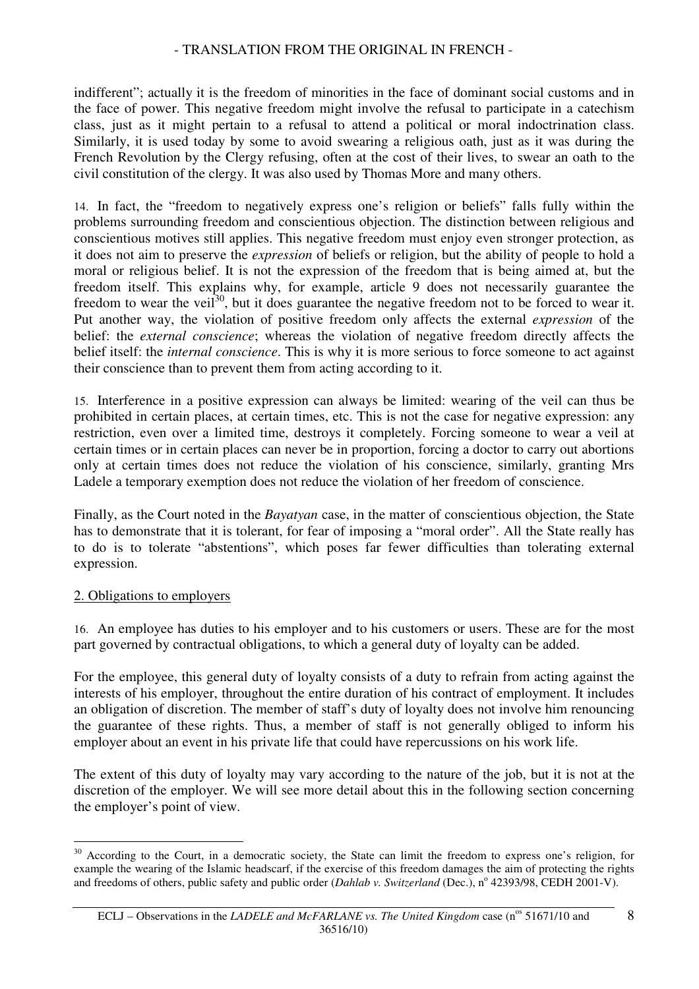indifferent"; actually it is the freedom of minorities in the face of dominant social customs and in the face of power. This negative freedom might involve the refusal to participate in a catechism class, just as it might pertain to a refusal to attend a political or moral indoctrination class. Similarly, it is used today by some to avoid swearing a religious oath, just as it was during the French Revolution by the Clergy refusing, often at the cost of their lives, to swear an oath to the civil constitution of the clergy. It was also used by Thomas More and many others.

14. In fact, the "freedom to negatively express one's religion or beliefs" falls fully within the problems surrounding freedom and conscientious objection. The distinction between religious and conscientious motives still applies. This negative freedom must enjoy even stronger protection, as it does not aim to preserve the *expression* of beliefs or religion, but the ability of people to hold a moral or religious belief. It is not the expression of the freedom that is being aimed at, but the freedom itself. This explains why, for example, article 9 does not necessarily guarantee the freedom to wear the veil<sup>30</sup>, but it does guarantee the negative freedom not to be forced to wear it. Put another way, the violation of positive freedom only affects the external *expression* of the belief: the *external conscience*; whereas the violation of negative freedom directly affects the belief itself: the *internal conscience*. This is why it is more serious to force someone to act against their conscience than to prevent them from acting according to it.

15. Interference in a positive expression can always be limited: wearing of the veil can thus be prohibited in certain places, at certain times, etc. This is not the case for negative expression: any restriction, even over a limited time, destroys it completely. Forcing someone to wear a veil at certain times or in certain places can never be in proportion, forcing a doctor to carry out abortions only at certain times does not reduce the violation of his conscience, similarly, granting Mrs Ladele a temporary exemption does not reduce the violation of her freedom of conscience.

Finally, as the Court noted in the *Bayatyan* case, in the matter of conscientious objection, the State has to demonstrate that it is tolerant, for fear of imposing a "moral order". All the State really has to do is to tolerate "abstentions", which poses far fewer difficulties than tolerating external expression.

## 2. Obligations to employers

16. An employee has duties to his employer and to his customers or users. These are for the most part governed by contractual obligations, to which a general duty of loyalty can be added.

For the employee, this general duty of loyalty consists of a duty to refrain from acting against the interests of his employer, throughout the entire duration of his contract of employment. It includes an obligation of discretion. The member of staff's duty of loyalty does not involve him renouncing the guarantee of these rights. Thus, a member of staff is not generally obliged to inform his employer about an event in his private life that could have repercussions on his work life.

The extent of this duty of loyalty may vary according to the nature of the job, but it is not at the discretion of the employer. We will see more detail about this in the following section concerning the employer's point of view.

 $\overline{a}$ <sup>30</sup> According to the Court, in a democratic society, the State can limit the freedom to express one's religion, for example the wearing of the Islamic headscarf, if the exercise of this freedom damages the aim of protecting the rights and freedoms of others, public safety and public order (*Dahlab v. Switzerland* (Dec.), n° 42393/98, CEDH 2001-V).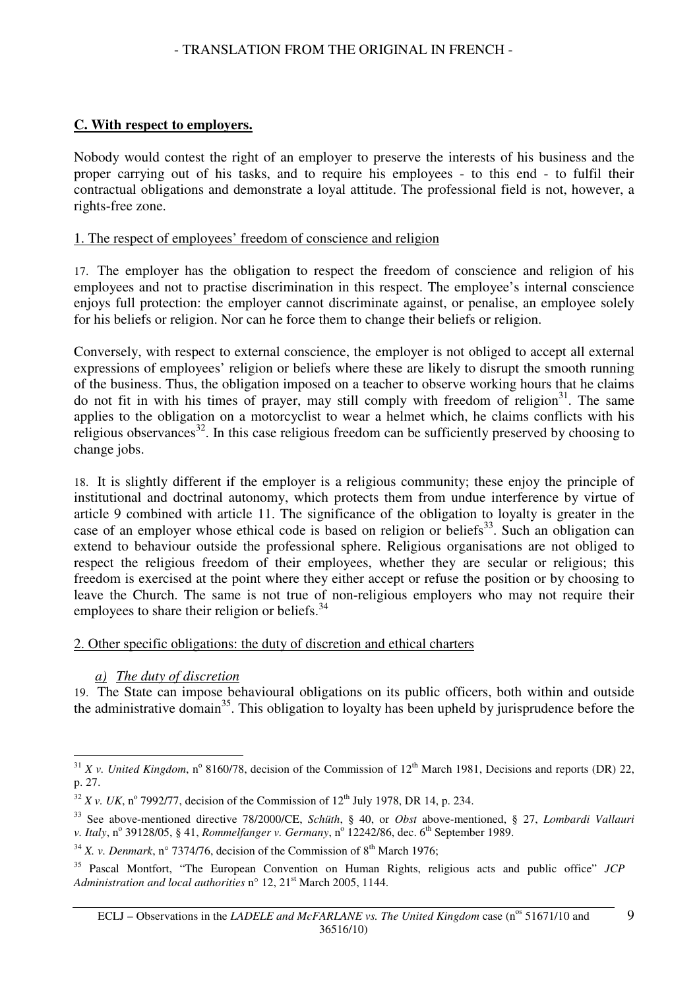## **C. With respect to employers.**

Nobody would contest the right of an employer to preserve the interests of his business and the proper carrying out of his tasks, and to require his employees - to this end - to fulfil their contractual obligations and demonstrate a loyal attitude. The professional field is not, however, a rights-free zone.

## 1. The respect of employees' freedom of conscience and religion

17. The employer has the obligation to respect the freedom of conscience and religion of his employees and not to practise discrimination in this respect. The employee's internal conscience enjoys full protection: the employer cannot discriminate against, or penalise, an employee solely for his beliefs or religion. Nor can he force them to change their beliefs or religion.

Conversely, with respect to external conscience, the employer is not obliged to accept all external expressions of employees' religion or beliefs where these are likely to disrupt the smooth running of the business. Thus, the obligation imposed on a teacher to observe working hours that he claims do not fit in with his times of prayer, may still comply with freedom of religion<sup>31</sup>. The same applies to the obligation on a motorcyclist to wear a helmet which, he claims conflicts with his religious observances<sup>32</sup>. In this case religious freedom can be sufficiently preserved by choosing to change jobs.

18. It is slightly different if the employer is a religious community; these enjoy the principle of institutional and doctrinal autonomy, which protects them from undue interference by virtue of article 9 combined with article 11. The significance of the obligation to loyalty is greater in the case of an employer whose ethical code is based on religion or beliefs<sup>33</sup>. Such an obligation can extend to behaviour outside the professional sphere. Religious organisations are not obliged to respect the religious freedom of their employees, whether they are secular or religious; this freedom is exercised at the point where they either accept or refuse the position or by choosing to leave the Church. The same is not true of non-religious employers who may not require their employees to share their religion or beliefs.<sup>34</sup>

#### 2. Other specific obligations: the duty of discretion and ethical charters

*a) The duty of discretion*

19. The State can impose behavioural obligations on its public officers, both within and outside the administrative domain<sup>35</sup>. This obligation to loyalty has been upheld by jurisprudence before the

 $\overline{a}$  $31 X v$ . United Kingdom, n° 8160/78, decision of the Commission of  $12<sup>th</sup>$  March 1981, Decisions and reports (DR) 22, p. 27.

 $32 Xv$ . UK, n<sup>o</sup> 7992/77, decision of the Commission of 12<sup>th</sup> July 1978, DR 14, p. 234.

<sup>33</sup> See above-mentioned directive 78/2000/CE, *Schüth*, § 40, or *Obst* above-mentioned, § 27, *Lombardi Vallauri*  v. Italy, n<sup>o</sup> 39128/05, § 41, *Rommelfanger v. Germany*, n<sup>o</sup> 12242/86, dec. 6<sup>th</sup> September 1989.

 $34$  *X. v. Denmark*, n° 7374/76, decision of the Commission of  $8<sup>th</sup>$  March 1976;

<sup>35</sup> Pascal Montfort, "The European Convention on Human Rights, religious acts and public office" *JCP*  Administration and local authorities n° 12, 21<sup>st</sup> March 2005, 1144.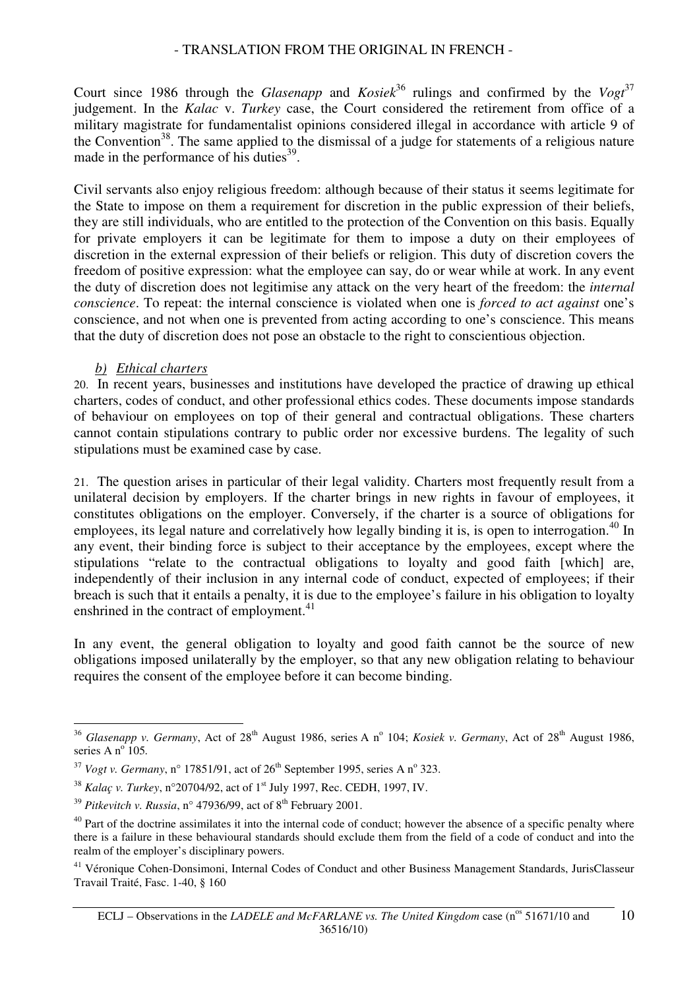Court since 1986 through the *Glasenapp* and *Kosiek*<sup>36</sup> rulings and confirmed by the  $Vogt^{37}$ judgement. In the *Kalac* v. *Turkey* case, the Court considered the retirement from office of a military magistrate for fundamentalist opinions considered illegal in accordance with article 9 of the Convention<sup>38</sup>. The same applied to the dismissal of a judge for statements of a religious nature made in the performance of his duties $^{39}$ .

Civil servants also enjoy religious freedom: although because of their status it seems legitimate for the State to impose on them a requirement for discretion in the public expression of their beliefs, they are still individuals, who are entitled to the protection of the Convention on this basis. Equally for private employers it can be legitimate for them to impose a duty on their employees of discretion in the external expression of their beliefs or religion. This duty of discretion covers the freedom of positive expression: what the employee can say, do or wear while at work. In any event the duty of discretion does not legitimise any attack on the very heart of the freedom: the *internal conscience*. To repeat: the internal conscience is violated when one is *forced to act against* one's conscience, and not when one is prevented from acting according to one's conscience. This means that the duty of discretion does not pose an obstacle to the right to conscientious objection.

#### *b) Ethical charters*

 $\overline{a}$ 

20. In recent years, businesses and institutions have developed the practice of drawing up ethical charters, codes of conduct, and other professional ethics codes. These documents impose standards of behaviour on employees on top of their general and contractual obligations. These charters cannot contain stipulations contrary to public order nor excessive burdens. The legality of such stipulations must be examined case by case.

21. The question arises in particular of their legal validity. Charters most frequently result from a unilateral decision by employers. If the charter brings in new rights in favour of employees, it constitutes obligations on the employer. Conversely, if the charter is a source of obligations for employees, its legal nature and correlatively how legally binding it is, is open to interrogation.<sup>40</sup> In any event, their binding force is subject to their acceptance by the employees, except where the stipulations "relate to the contractual obligations to loyalty and good faith [which] are, independently of their inclusion in any internal code of conduct, expected of employees; if their breach is such that it entails a penalty, it is due to the employee's failure in his obligation to loyalty enshrined in the contract of employment.<sup>41</sup>

In any event, the general obligation to loyalty and good faith cannot be the source of new obligations imposed unilaterally by the employer, so that any new obligation relating to behaviour requires the consent of the employee before it can become binding.

<sup>&</sup>lt;sup>36</sup> Glasenapp v. Germany, Act of 28<sup>th</sup> August 1986, series A n° 104; *Kosiek v. Germany*, Act of 28<sup>th</sup> August 1986, series A n<sup>o</sup> 105.

 $37 \text{ Vogt } v$ . Germany, n° 17851/91, act of 26<sup>th</sup> September 1995, series A n° 323.

<sup>38</sup> *Kalaç v. Turkey*, n°20704/92, act of 1st July 1997, Rec. CEDH, 1997, IV.

<sup>&</sup>lt;sup>39</sup> *Pitkevitch v. Russia,*  $n^{\circ}$  47936/99, act of 8<sup>th</sup> February 2001.

 $40$  Part of the doctrine assimilates it into the internal code of conduct; however the absence of a specific penalty where there is a failure in these behavioural standards should exclude them from the field of a code of conduct and into the realm of the employer's disciplinary powers.

<sup>&</sup>lt;sup>41</sup> Véronique Cohen-Donsimoni, Internal Codes of Conduct and other Business Management Standards, JurisClasseur Travail Traité, Fasc. 1-40, § 160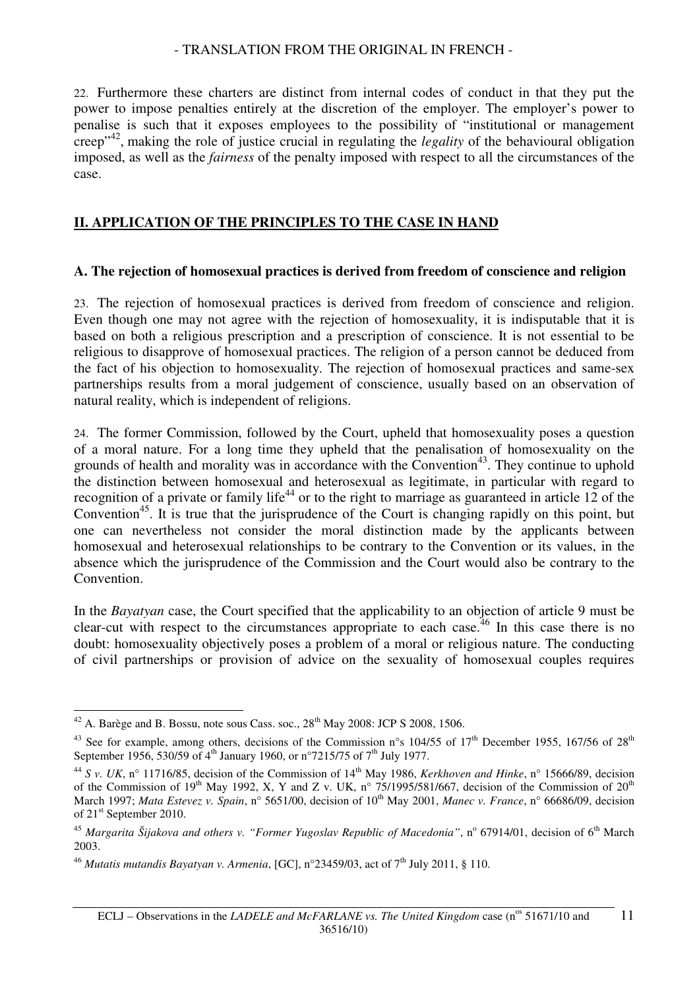22. Furthermore these charters are distinct from internal codes of conduct in that they put the power to impose penalties entirely at the discretion of the employer. The employer's power to penalise is such that it exposes employees to the possibility of "institutional or management creep"<sup>42</sup>, making the role of justice crucial in regulating the *legality* of the behavioural obligation imposed, as well as the *fairness* of the penalty imposed with respect to all the circumstances of the case.

## **II. APPLICATION OF THE PRINCIPLES TO THE CASE IN HAND**

#### **A. The rejection of homosexual practices is derived from freedom of conscience and religion**

23. The rejection of homosexual practices is derived from freedom of conscience and religion. Even though one may not agree with the rejection of homosexuality, it is indisputable that it is based on both a religious prescription and a prescription of conscience. It is not essential to be religious to disapprove of homosexual practices. The religion of a person cannot be deduced from the fact of his objection to homosexuality. The rejection of homosexual practices and same-sex partnerships results from a moral judgement of conscience, usually based on an observation of natural reality, which is independent of religions.

24. The former Commission, followed by the Court, upheld that homosexuality poses a question of a moral nature. For a long time they upheld that the penalisation of homosexuality on the grounds of health and morality was in accordance with the Convention<sup>43</sup>. They continue to uphold the distinction between homosexual and heterosexual as legitimate, in particular with regard to recognition of a private or family life<sup>44</sup> or to the right to marriage as guaranteed in article 12 of the Convention<sup>45</sup>. It is true that the jurisprudence of the Court is changing rapidly on this point, but one can nevertheless not consider the moral distinction made by the applicants between homosexual and heterosexual relationships to be contrary to the Convention or its values, in the absence which the jurisprudence of the Commission and the Court would also be contrary to the Convention.

In the *Bayatyan* case, the Court specified that the applicability to an objection of article 9 must be clear-cut with respect to the circumstances appropriate to each case.<sup>46</sup> In this case there is no doubt: homosexuality objectively poses a problem of a moral or religious nature. The conducting of civil partnerships or provision of advice on the sexuality of homosexual couples requires

 $\overline{a}$  $^{42}$  A. Barège and B. Bossu, note sous Cass. soc.,  $28^{th}$  May 2008: JCP S 2008, 1506.

<sup>&</sup>lt;sup>43</sup> See for example, among others, decisions of the Commission n°s 104/55 of 17<sup>th</sup> December 1955, 167/56 of 28<sup>th</sup> September 1956, 530/59 of  $4^{th}$  January 1960, or n°7215/75 of  $7^{th}$  July 1977.

<sup>&</sup>lt;sup>44</sup> *S v. UK*, n° 11716/85, decision of the Commission of 14<sup>th</sup> May 1986, *Kerkhoven and Hinke*, n° 15666/89, decision of the Commission of 19<sup>th</sup> May 1992, X, Y and Z v. UK, n° 75/1995/581/667, decision of the Commission of 20<sup>th</sup> March 1997; *Mata Estevez v. Spain*, n° 5651/00, decision of 10<sup>th</sup> May 2001, *Manec v. France*, n° 66686/09, decision of 21<sup>st</sup> September 2010.

<sup>&</sup>lt;sup>45</sup> Margarita Šijakova and others v. "Former Yugoslav Republic of Macedonia", n<sup>o</sup> 67914/01, decision of 6<sup>th</sup> March 2003.

<sup>&</sup>lt;sup>46</sup> *Mutatis mutandis Bayatyan v. Armenia*, [GC], n°23459/03, act of  $7<sup>th</sup>$  July 2011, § 110.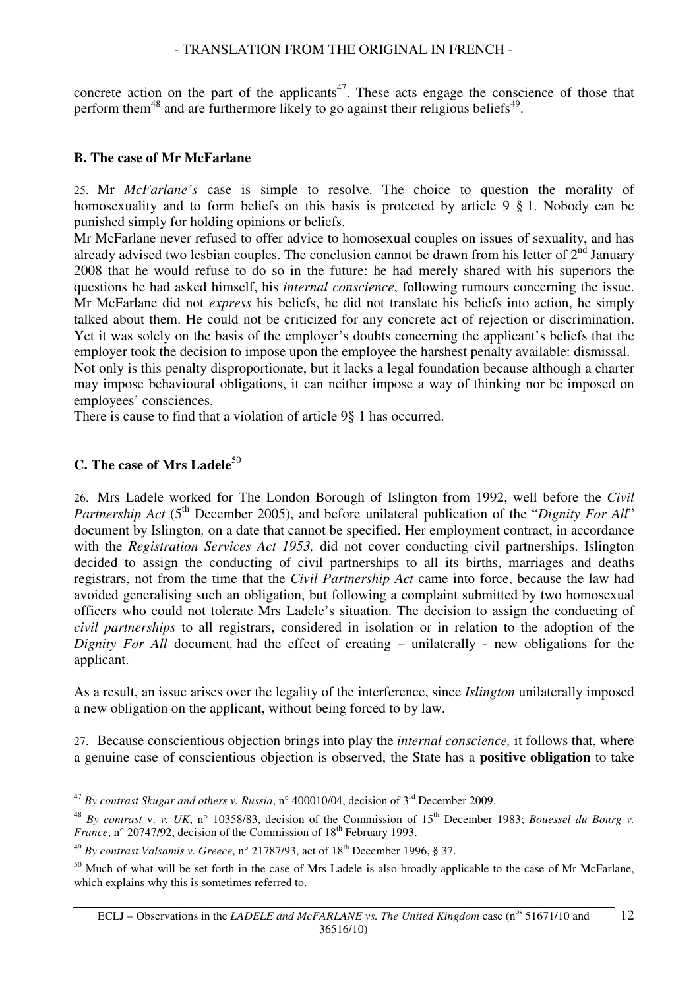concrete action on the part of the applicants<sup>47</sup>. These acts engage the conscience of those that perform them<sup>48</sup> and are furthermore likely to go against their religious beliefs<sup>49</sup>.

#### **B. The case of Mr McFarlane**

25. Mr *McFarlane's* case is simple to resolve. The choice to question the morality of homosexuality and to form beliefs on this basis is protected by article 9 § 1. Nobody can be punished simply for holding opinions or beliefs.

Mr McFarlane never refused to offer advice to homosexual couples on issues of sexuality, and has already advised two lesbian couples. The conclusion cannot be drawn from his letter of  $2<sup>nd</sup>$  January 2008 that he would refuse to do so in the future: he had merely shared with his superiors the questions he had asked himself, his *internal conscience*, following rumours concerning the issue. Mr McFarlane did not *express* his beliefs, he did not translate his beliefs into action, he simply talked about them. He could not be criticized for any concrete act of rejection or discrimination. Yet it was solely on the basis of the employer's doubts concerning the applicant's beliefs that the employer took the decision to impose upon the employee the harshest penalty available: dismissal. Not only is this penalty disproportionate, but it lacks a legal foundation because although a charter may impose behavioural obligations, it can neither impose a way of thinking nor be imposed on

employees' consciences.

There is cause to find that a violation of article 9§ 1 has occurred.

## **C. The case of Mrs Ladele**<sup>50</sup>

26. Mrs Ladele worked for The London Borough of Islington from 1992, well before the *Civil Partnership Act* (5<sup>th</sup> December 2005), and before unilateral publication of the "*Dignity For All*" document by Islington*,* on a date that cannot be specified. Her employment contract, in accordance with the *Registration Services Act 1953,* did not cover conducting civil partnerships. Islington decided to assign the conducting of civil partnerships to all its births, marriages and deaths registrars, not from the time that the *Civil Partnership Act* came into force, because the law had avoided generalising such an obligation, but following a complaint submitted by two homosexual officers who could not tolerate Mrs Ladele's situation. The decision to assign the conducting of *civil partnerships* to all registrars, considered in isolation or in relation to the adoption of the *Dignity For All* document*,* had the effect of creating – unilaterally - new obligations for the applicant.

As a result, an issue arises over the legality of the interference, since *Islington* unilaterally imposed a new obligation on the applicant, without being forced to by law.

27. Because conscientious objection brings into play the *internal conscience,* it follows that, where a genuine case of conscientious objection is observed, the State has a **positive obligation** to take

 $\overline{a}$ <sup>47</sup> *By contrast Skugar and others v. Russia*, n° 400010/04, decision of 3rd December 2009.

<sup>48</sup> *By contrast* v. *v. UK*, n° 10358/83, decision of the Commission of 15th December 1983; *Bouessel du Bourg v. France*, n° 20747/92, decision of the Commission of 18<sup>th</sup> February 1993.

<sup>&</sup>lt;sup>49</sup> By contrast Valsamis v. Greece, n° 21787/93, act of 18<sup>th</sup> December 1996, § 37.

 $50$  Much of what will be set forth in the case of Mrs Ladele is also broadly applicable to the case of Mr McFarlane, which explains why this is sometimes referred to.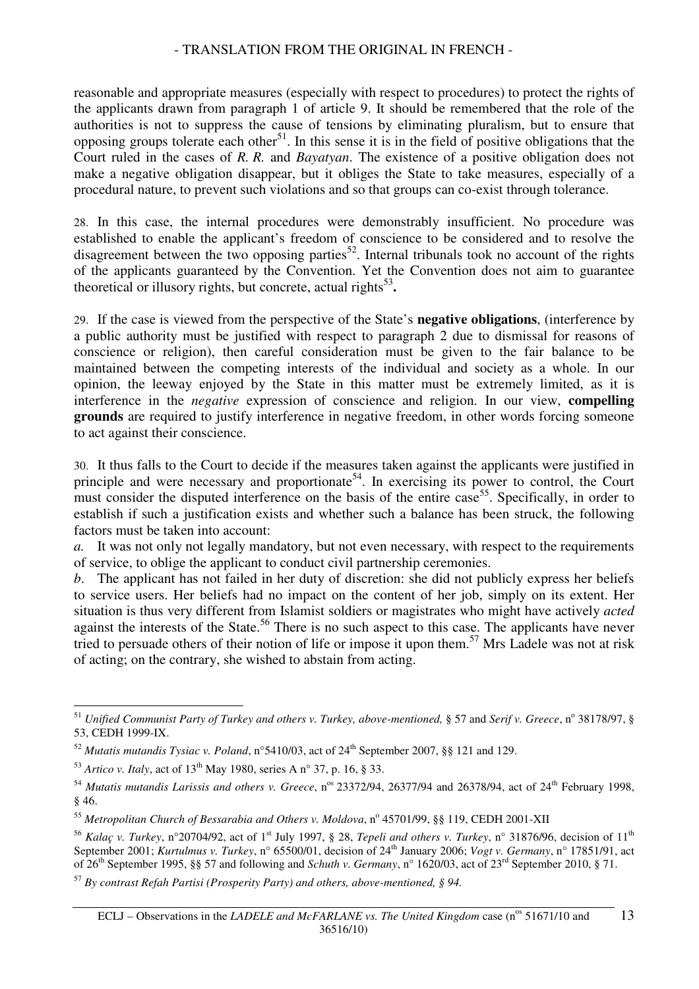reasonable and appropriate measures (especially with respect to procedures) to protect the rights of the applicants drawn from paragraph 1 of article 9. It should be remembered that the role of the authorities is not to suppress the cause of tensions by eliminating pluralism, but to ensure that opposing groups tolerate each other<sup>51</sup>. In this sense it is in the field of positive obligations that the Court ruled in the cases of *R. R.* and *Bayatyan*. The existence of a positive obligation does not make a negative obligation disappear, but it obliges the State to take measures, especially of a procedural nature, to prevent such violations and so that groups can co-exist through tolerance.

28. In this case, the internal procedures were demonstrably insufficient. No procedure was established to enable the applicant's freedom of conscience to be considered and to resolve the disagreement between the two opposing parties<sup>52</sup>. Internal tribunals took no account of the rights of the applicants guaranteed by the Convention. Yet the Convention does not aim to guarantee theoretical or illusory rights, but concrete, actual rights<sup>53</sup>.

29. If the case is viewed from the perspective of the State's **negative obligations**, (interference by a public authority must be justified with respect to paragraph 2 due to dismissal for reasons of conscience or religion), then careful consideration must be given to the fair balance to be maintained between the competing interests of the individual and society as a whole. In our opinion, the leeway enjoyed by the State in this matter must be extremely limited, as it is interference in the *negative* expression of conscience and religion. In our view, **compelling grounds** are required to justify interference in negative freedom, in other words forcing someone to act against their conscience.

30. It thus falls to the Court to decide if the measures taken against the applicants were justified in principle and were necessary and proportionate<sup>54</sup>. In exercising its power to control, the Court must consider the disputed interference on the basis of the entire case<sup>55</sup>. Specifically, in order to establish if such a justification exists and whether such a balance has been struck, the following factors must be taken into account:

*a.* It was not only not legally mandatory, but not even necessary, with respect to the requirements of service, to oblige the applicant to conduct civil partnership ceremonies.

*b*. The applicant has not failed in her duty of discretion: she did not publicly express her beliefs to service users. Her beliefs had no impact on the content of her job, simply on its extent. Her situation is thus very different from Islamist soldiers or magistrates who might have actively *acted*  against the interests of the State.<sup>56</sup> There is no such aspect to this case. The applicants have never tried to persuade others of their notion of life or impose it upon them.<sup>57</sup> Mrs Ladele was not at risk of acting; on the contrary, she wished to abstain from acting.

 $\overline{a}$ <sup>51</sup> Unified Communist Party of Turkey and others v. Turkey, above-mentioned, § 57 and Serif v. Greece, n° 38178/97, § 53, CEDH 1999-IX.

<sup>&</sup>lt;sup>52</sup> Mutatis mutandis Tysiac v. Poland, n°5410/03, act of 24<sup>th</sup> September 2007, §§ 121 and 129.

 $^{53}$  *Artico v. Italy*, act of  $13^{th}$  May 1980, series A n° 37, p. 16, § 33.

 $54$  *Mutatis mutandis Larissis and others v. Greece*, n<sup>os</sup> 23372/94, 26377/94 and 26378/94, act of 24<sup>th</sup> February 1998, § 46.

<sup>&</sup>lt;sup>55</sup> Metropolitan Church of Bessarabia and Others v. Moldova, n<sup>o</sup> 45701/99, §§ 119, CEDH 2001-XII

<sup>&</sup>lt;sup>56</sup> *Kalac v. Turkey*, n°20704/92, act of 1<sup>st</sup> July 1997, § 28, *Tepeli and others v. Turkey*, n° 31876/96, decision of 11<sup>th</sup> September 2001; *Kurtulmus v. Turkey*, n° 65500/01, decision of 24th January 2006; *Vogt v. Germany*, n° 17851/91, act of 26th September 1995, §§ 57 and following and *Schuth v. Germany*, n° 1620/03, act of 23rd September 2010, § 71.

<sup>57</sup> *By contrast Refah Partisi (Prosperity Party) and others, above-mentioned, § 94.*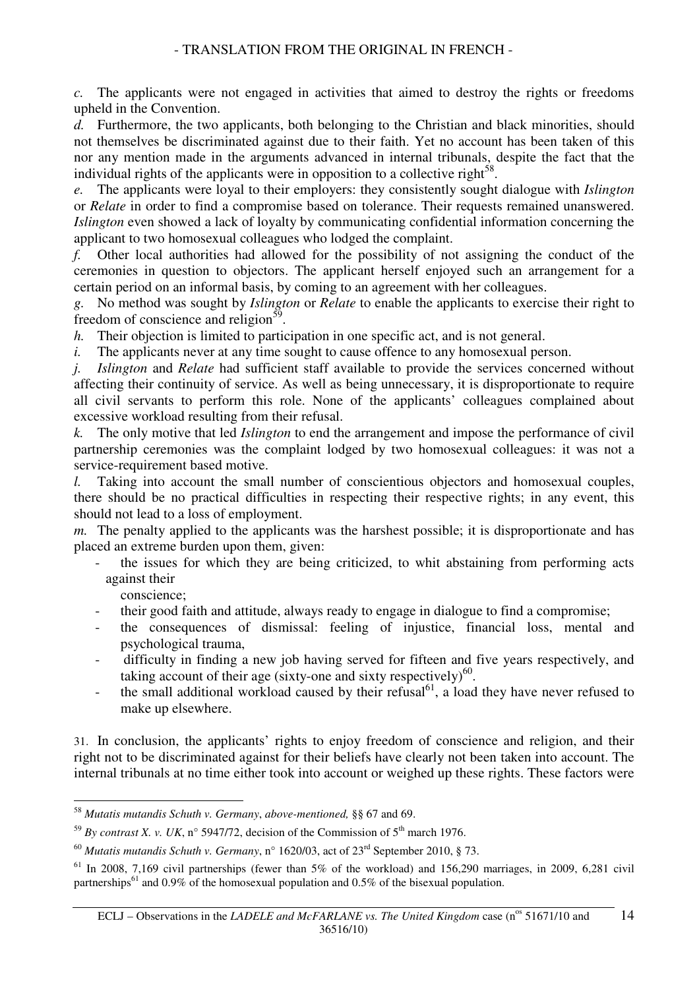*c.* The applicants were not engaged in activities that aimed to destroy the rights or freedoms upheld in the Convention.

*d.* Furthermore, the two applicants, both belonging to the Christian and black minorities, should not themselves be discriminated against due to their faith. Yet no account has been taken of this nor any mention made in the arguments advanced in internal tribunals, despite the fact that the individual rights of the applicants were in opposition to a collective right<sup>58</sup>.

*e.* The applicants were loyal to their employers: they consistently sought dialogue with *Islington* or *Relate* in order to find a compromise based on tolerance. Their requests remained unanswered. *Islington* even showed a lack of loyalty by communicating confidential information concerning the applicant to two homosexual colleagues who lodged the complaint.

*f.* Other local authorities had allowed for the possibility of not assigning the conduct of the ceremonies in question to objectors. The applicant herself enjoyed such an arrangement for a certain period on an informal basis, by coming to an agreement with her colleagues.

*g.* No method was sought by *Islington* or *Relate* to enable the applicants to exercise their right to freedom of conscience and religion<sup>59</sup>.

*h.* Their objection is limited to participation in one specific act, and is not general.

*i.* The applicants never at any time sought to cause offence to any homosexual person.

*j. Islington* and *Relate* had sufficient staff available to provide the services concerned without affecting their continuity of service. As well as being unnecessary, it is disproportionate to require all civil servants to perform this role. None of the applicants' colleagues complained about excessive workload resulting from their refusal.

*k.* The only motive that led *Islington* to end the arrangement and impose the performance of civil partnership ceremonies was the complaint lodged by two homosexual colleagues: it was not a service-requirement based motive.

*l.* Taking into account the small number of conscientious objectors and homosexual couples, there should be no practical difficulties in respecting their respective rights; in any event, this should not lead to a loss of employment.

*m*. The penalty applied to the applicants was the harshest possible; it is disproportionate and has placed an extreme burden upon them, given:

the issues for which they are being criticized, to whit abstaining from performing acts against their

conscience;

- their good faith and attitude, always ready to engage in dialogue to find a compromise;
- the consequences of dismissal: feeling of injustice, financial loss, mental and psychological trauma,
- difficulty in finding a new job having served for fifteen and five years respectively, and taking account of their age (sixty-one and sixty respectively) $^{60}$ .
- the small additional workload caused by their refusal<sup>61</sup>, a load they have never refused to make up elsewhere.

31. In conclusion, the applicants' rights to enjoy freedom of conscience and religion, and their right not to be discriminated against for their beliefs have clearly not been taken into account. The internal tribunals at no time either took into account or weighed up these rights. These factors were

 $\overline{a}$ <sup>58</sup> *Mutatis mutandis Schuth v. Germany*, *above-mentioned,* §§ 67 and 69.

<sup>&</sup>lt;sup>59</sup> By contrast X. v. UK, n° 5947/72, decision of the Commission of  $5<sup>th</sup>$  march 1976.

<sup>60</sup> *Mutatis mutandis Schuth v. Germany*, n° 1620/03, act of 23rd September 2010, § 73.

 $61$  In 2008, 7,169 civil partnerships (fewer than 5% of the workload) and 156,290 marriages, in 2009, 6,281 civil partnerships<sup>61</sup> and 0.9% of the homosexual population and 0.5% of the bisexual population.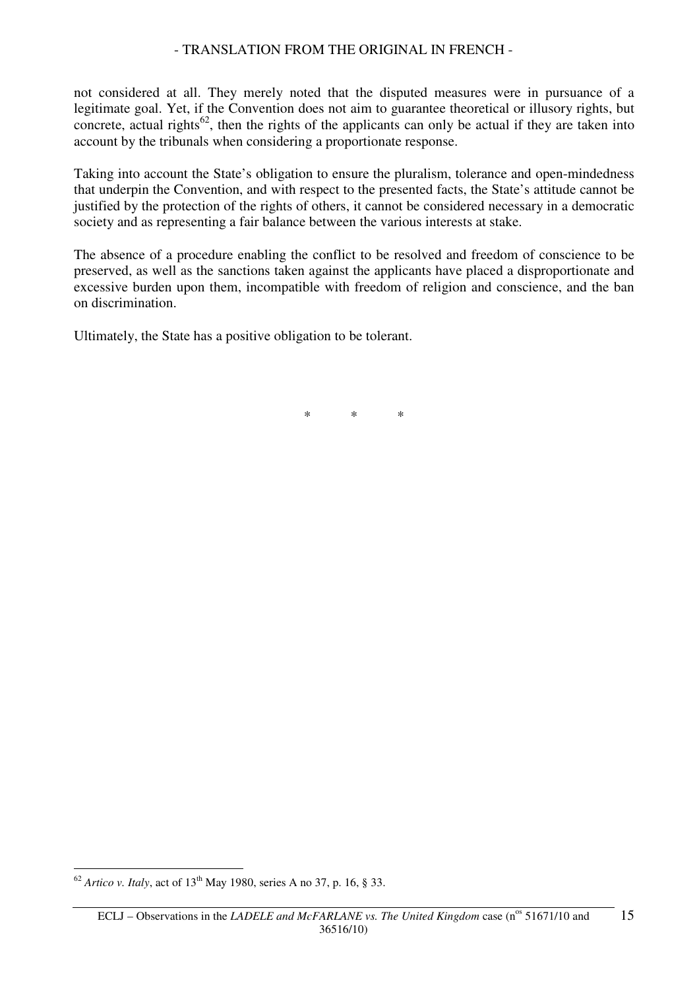not considered at all. They merely noted that the disputed measures were in pursuance of a legitimate goal. Yet, if the Convention does not aim to guarantee theoretical or illusory rights, but concrete, actual rights<sup>62</sup>, then the rights of the applicants can only be actual if they are taken into account by the tribunals when considering a proportionate response.

Taking into account the State's obligation to ensure the pluralism, tolerance and open-mindedness that underpin the Convention, and with respect to the presented facts, the State's attitude cannot be justified by the protection of the rights of others, it cannot be considered necessary in a democratic society and as representing a fair balance between the various interests at stake.

The absence of a procedure enabling the conflict to be resolved and freedom of conscience to be preserved, as well as the sanctions taken against the applicants have placed a disproportionate and excessive burden upon them, incompatible with freedom of religion and conscience, and the ban on discrimination.

Ultimately, the State has a positive obligation to be tolerant.

\* \* \*

 $\overline{a}$ 

 $^{62}$  *Artico v. Italy*, act of 13<sup>th</sup> May 1980, series A no 37, p. 16, § 33.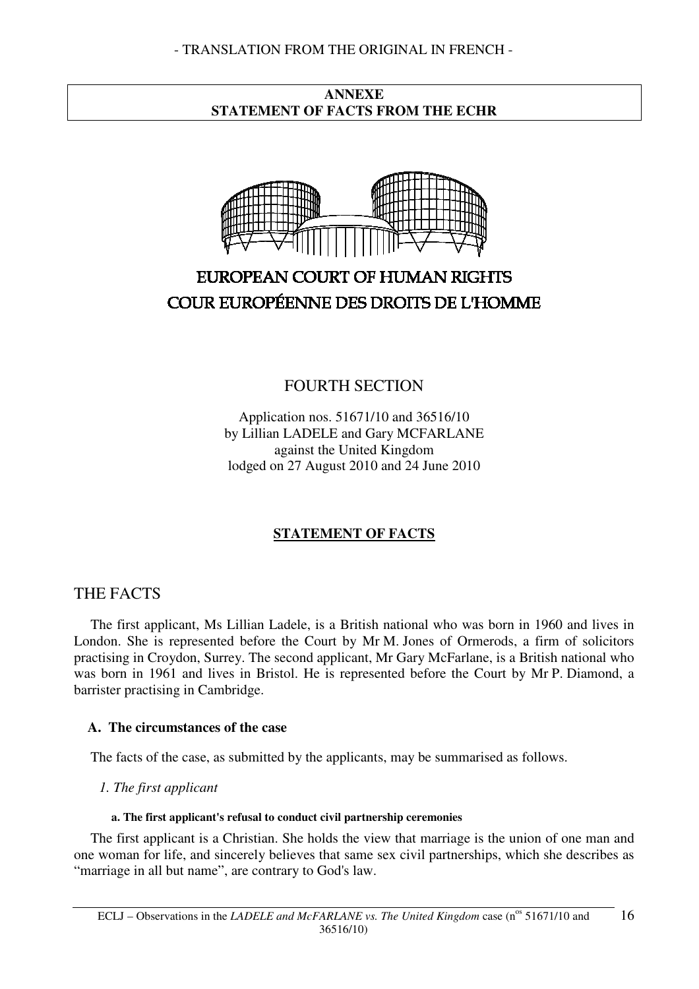## **ANNEXE STATEMENT OF FACTS FROM THE ECHR**



# EUROPEAN COURT OF HUMAN RIGHTS **COUR EUROPÉENNE DES DROITS DE L'HOMME**

## FOURTH SECTION

Application nos. 51671/10 and 36516/10 by Lillian LADELE and Gary MCFARLANE against the United Kingdom lodged on 27 August 2010 and 24 June 2010

## **STATEMENT OF FACTS**

## THE FACTS

The first applicant, Ms Lillian Ladele, is a British national who was born in 1960 and lives in London. She is represented before the Court by Mr M. Jones of Ormerods, a firm of solicitors practising in Croydon, Surrey. The second applicant, Mr Gary McFarlane, is a British national who was born in 1961 and lives in Bristol. He is represented before the Court by Mr P. Diamond, a barrister practising in Cambridge.

#### **A. The circumstances of the case**

The facts of the case, as submitted by the applicants, may be summarised as follows.

*1. The first applicant* 

#### **a. The first applicant's refusal to conduct civil partnership ceremonies**

The first applicant is a Christian. She holds the view that marriage is the union of one man and one woman for life, and sincerely believes that same sex civil partnerships, which she describes as "marriage in all but name", are contrary to God's law.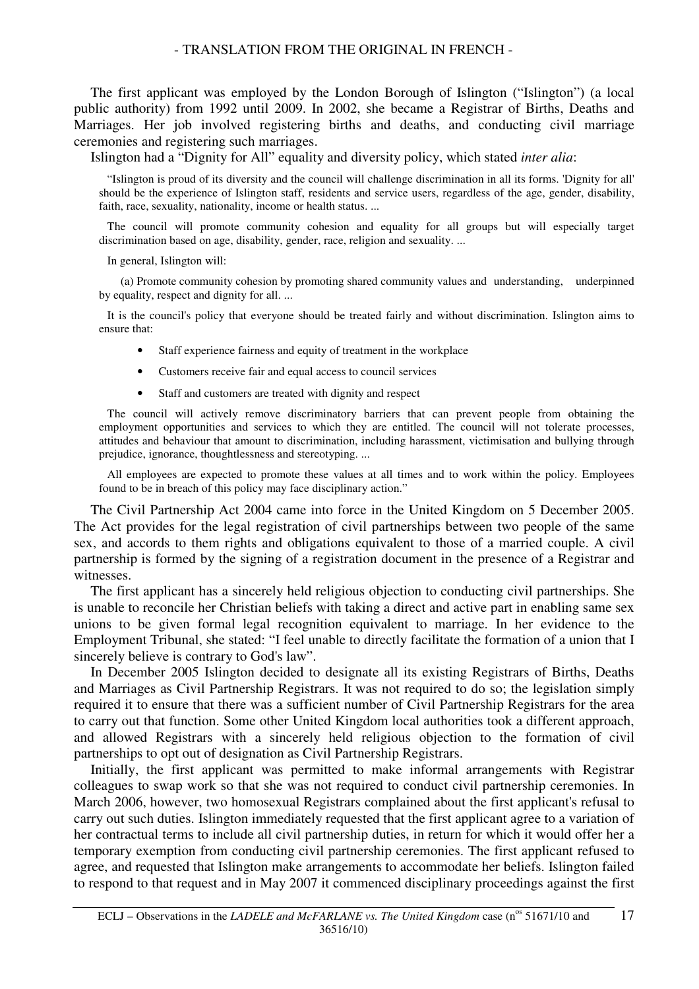The first applicant was employed by the London Borough of Islington ("Islington") (a local public authority) from 1992 until 2009. In 2002, she became a Registrar of Births, Deaths and Marriages. Her job involved registering births and deaths, and conducting civil marriage ceremonies and registering such marriages.

Islington had a "Dignity for All" equality and diversity policy, which stated *inter alia*:

"Islington is proud of its diversity and the council will challenge discrimination in all its forms. 'Dignity for all' should be the experience of Islington staff, residents and service users, regardless of the age, gender, disability, faith, race, sexuality, nationality, income or health status. ...

The council will promote community cohesion and equality for all groups but will especially target discrimination based on age, disability, gender, race, religion and sexuality. ...

In general, Islington will:

 (a) Promote community cohesion by promoting shared community values and understanding, underpinned by equality, respect and dignity for all. ...

It is the council's policy that everyone should be treated fairly and without discrimination. Islington aims to ensure that:

- Staff experience fairness and equity of treatment in the workplace
- Customers receive fair and equal access to council services
- Staff and customers are treated with dignity and respect

The council will actively remove discriminatory barriers that can prevent people from obtaining the employment opportunities and services to which they are entitled. The council will not tolerate processes, attitudes and behaviour that amount to discrimination, including harassment, victimisation and bullying through prejudice, ignorance, thoughtlessness and stereotyping. ...

All employees are expected to promote these values at all times and to work within the policy. Employees found to be in breach of this policy may face disciplinary action."

The Civil Partnership Act 2004 came into force in the United Kingdom on 5 December 2005. The Act provides for the legal registration of civil partnerships between two people of the same sex, and accords to them rights and obligations equivalent to those of a married couple. A civil partnership is formed by the signing of a registration document in the presence of a Registrar and witnesses.

The first applicant has a sincerely held religious objection to conducting civil partnerships. She is unable to reconcile her Christian beliefs with taking a direct and active part in enabling same sex unions to be given formal legal recognition equivalent to marriage. In her evidence to the Employment Tribunal, she stated: "I feel unable to directly facilitate the formation of a union that I sincerely believe is contrary to God's law".

In December 2005 Islington decided to designate all its existing Registrars of Births, Deaths and Marriages as Civil Partnership Registrars. It was not required to do so; the legislation simply required it to ensure that there was a sufficient number of Civil Partnership Registrars for the area to carry out that function. Some other United Kingdom local authorities took a different approach, and allowed Registrars with a sincerely held religious objection to the formation of civil partnerships to opt out of designation as Civil Partnership Registrars.

Initially, the first applicant was permitted to make informal arrangements with Registrar colleagues to swap work so that she was not required to conduct civil partnership ceremonies. In March 2006, however, two homosexual Registrars complained about the first applicant's refusal to carry out such duties. Islington immediately requested that the first applicant agree to a variation of her contractual terms to include all civil partnership duties, in return for which it would offer her a temporary exemption from conducting civil partnership ceremonies. The first applicant refused to agree, and requested that Islington make arrangements to accommodate her beliefs. Islington failed to respond to that request and in May 2007 it commenced disciplinary proceedings against the first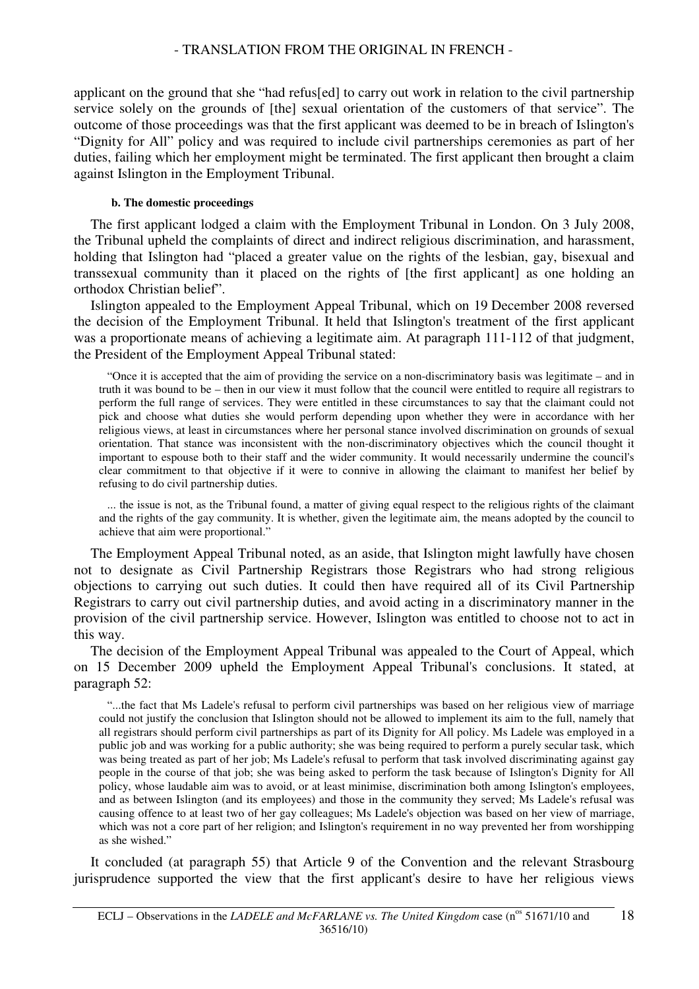applicant on the ground that she "had refus[ed] to carry out work in relation to the civil partnership service solely on the grounds of [the] sexual orientation of the customers of that service". The outcome of those proceedings was that the first applicant was deemed to be in breach of Islington's "Dignity for All" policy and was required to include civil partnerships ceremonies as part of her duties, failing which her employment might be terminated. The first applicant then brought a claim against Islington in the Employment Tribunal.

#### **b. The domestic proceedings**

The first applicant lodged a claim with the Employment Tribunal in London. On 3 July 2008, the Tribunal upheld the complaints of direct and indirect religious discrimination, and harassment, holding that Islington had "placed a greater value on the rights of the lesbian, gay, bisexual and transsexual community than it placed on the rights of [the first applicant] as one holding an orthodox Christian belief".

Islington appealed to the Employment Appeal Tribunal, which on 19 December 2008 reversed the decision of the Employment Tribunal. It held that Islington's treatment of the first applicant was a proportionate means of achieving a legitimate aim. At paragraph 111-112 of that judgment, the President of the Employment Appeal Tribunal stated:

"Once it is accepted that the aim of providing the service on a non-discriminatory basis was legitimate – and in truth it was bound to be – then in our view it must follow that the council were entitled to require all registrars to perform the full range of services. They were entitled in these circumstances to say that the claimant could not pick and choose what duties she would perform depending upon whether they were in accordance with her religious views, at least in circumstances where her personal stance involved discrimination on grounds of sexual orientation. That stance was inconsistent with the non-discriminatory objectives which the council thought it important to espouse both to their staff and the wider community. It would necessarily undermine the council's clear commitment to that objective if it were to connive in allowing the claimant to manifest her belief by refusing to do civil partnership duties.

... the issue is not, as the Tribunal found, a matter of giving equal respect to the religious rights of the claimant and the rights of the gay community. It is whether, given the legitimate aim, the means adopted by the council to achieve that aim were proportional."

The Employment Appeal Tribunal noted, as an aside, that Islington might lawfully have chosen not to designate as Civil Partnership Registrars those Registrars who had strong religious objections to carrying out such duties. It could then have required all of its Civil Partnership Registrars to carry out civil partnership duties, and avoid acting in a discriminatory manner in the provision of the civil partnership service. However, Islington was entitled to choose not to act in this way.

The decision of the Employment Appeal Tribunal was appealed to the Court of Appeal, which on 15 December 2009 upheld the Employment Appeal Tribunal's conclusions. It stated, at paragraph 52:

"...the fact that Ms Ladele's refusal to perform civil partnerships was based on her religious view of marriage could not justify the conclusion that Islington should not be allowed to implement its aim to the full, namely that all registrars should perform civil partnerships as part of its Dignity for All policy. Ms Ladele was employed in a public job and was working for a public authority; she was being required to perform a purely secular task, which was being treated as part of her job; Ms Ladele's refusal to perform that task involved discriminating against gay people in the course of that job; she was being asked to perform the task because of Islington's Dignity for All policy, whose laudable aim was to avoid, or at least minimise, discrimination both among Islington's employees, and as between Islington (and its employees) and those in the community they served; Ms Ladele's refusal was causing offence to at least two of her gay colleagues; Ms Ladele's objection was based on her view of marriage, which was not a core part of her religion; and Islington's requirement in no way prevented her from worshipping as she wished."

It concluded (at paragraph 55) that Article 9 of the Convention and the relevant Strasbourg jurisprudence supported the view that the first applicant's desire to have her religious views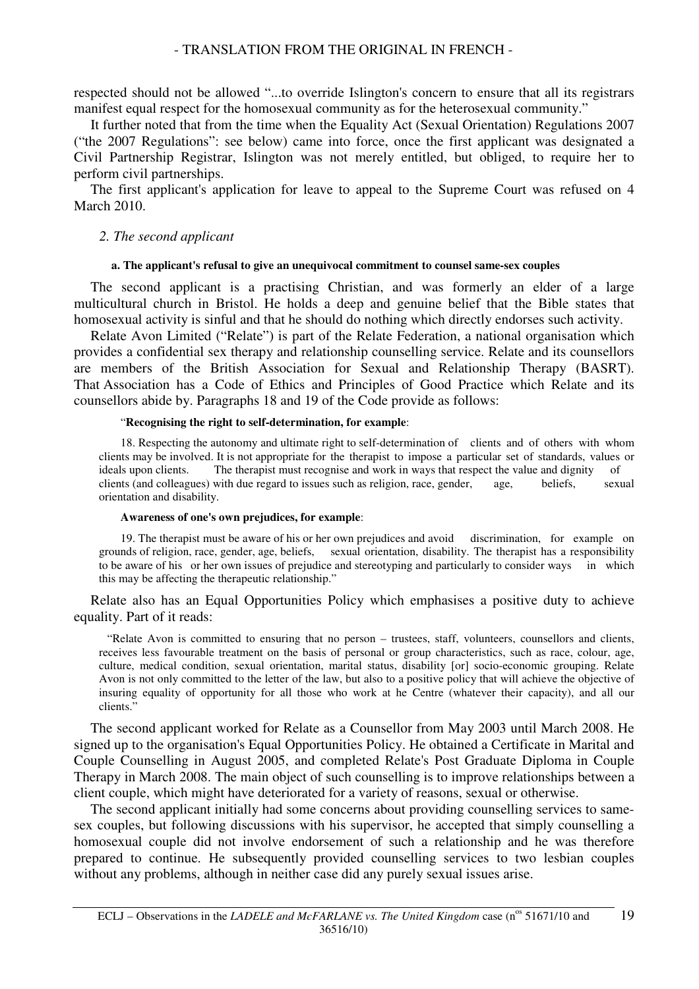respected should not be allowed "...to override Islington's concern to ensure that all its registrars manifest equal respect for the homosexual community as for the heterosexual community."

It further noted that from the time when the Equality Act (Sexual Orientation) Regulations 2007 ("the 2007 Regulations": see below) came into force, once the first applicant was designated a Civil Partnership Registrar, Islington was not merely entitled, but obliged, to require her to perform civil partnerships.

The first applicant's application for leave to appeal to the Supreme Court was refused on 4 March 2010.

#### *2. The second applicant*

#### **a. The applicant's refusal to give an unequivocal commitment to counsel same-sex couples**

The second applicant is a practising Christian, and was formerly an elder of a large multicultural church in Bristol. He holds a deep and genuine belief that the Bible states that homosexual activity is sinful and that he should do nothing which directly endorses such activity.

Relate Avon Limited ("Relate") is part of the Relate Federation, a national organisation which provides a confidential sex therapy and relationship counselling service. Relate and its counsellors are members of the British Association for Sexual and Relationship Therapy (BASRT). That Association has a Code of Ethics and Principles of Good Practice which Relate and its counsellors abide by. Paragraphs 18 and 19 of the Code provide as follows:

#### "**Recognising the right to self-determination, for example**:

 18. Respecting the autonomy and ultimate right to self-determination of clients and of others with whom clients may be involved. It is not appropriate for the therapist to impose a particular set of standards, values or ideals upon clients. The therapist must recognise and work in ways that respect the value and dignity of clients (and colleagues) with due regard to issues such as religion, race, gender, age, beliefs, sexual orientation and disability.

#### **Awareness of one's own prejudices, for example**:

 19. The therapist must be aware of his or her own prejudices and avoid discrimination, for example on grounds of religion, race, gender, age, beliefs, sexual orientation, disability. The therapist has a responsibility to be aware of his or her own issues of prejudice and stereotyping and particularly to consider ways in which this may be affecting the therapeutic relationship."

Relate also has an Equal Opportunities Policy which emphasises a positive duty to achieve equality. Part of it reads:

"Relate Avon is committed to ensuring that no person – trustees, staff, volunteers, counsellors and clients, receives less favourable treatment on the basis of personal or group characteristics, such as race, colour, age, culture, medical condition, sexual orientation, marital status, disability [or] socio-economic grouping. Relate Avon is not only committed to the letter of the law, but also to a positive policy that will achieve the objective of insuring equality of opportunity for all those who work at he Centre (whatever their capacity), and all our clients."

The second applicant worked for Relate as a Counsellor from May 2003 until March 2008. He signed up to the organisation's Equal Opportunities Policy. He obtained a Certificate in Marital and Couple Counselling in August 2005, and completed Relate's Post Graduate Diploma in Couple Therapy in March 2008. The main object of such counselling is to improve relationships between a client couple, which might have deteriorated for a variety of reasons, sexual or otherwise.

The second applicant initially had some concerns about providing counselling services to samesex couples, but following discussions with his supervisor, he accepted that simply counselling a homosexual couple did not involve endorsement of such a relationship and he was therefore prepared to continue. He subsequently provided counselling services to two lesbian couples without any problems, although in neither case did any purely sexual issues arise.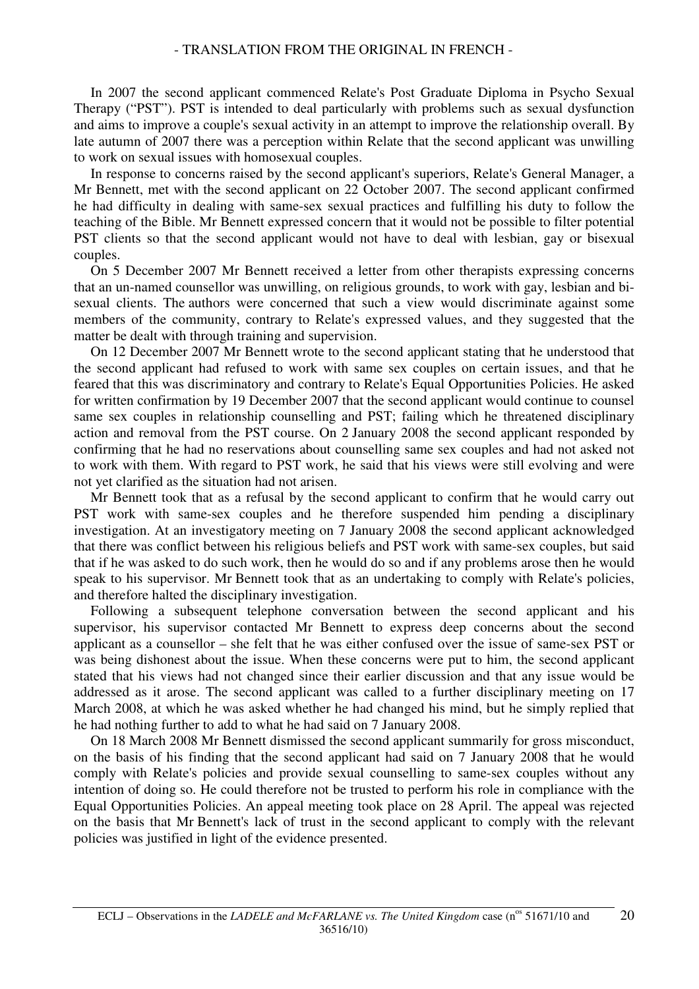In 2007 the second applicant commenced Relate's Post Graduate Diploma in Psycho Sexual Therapy ("PST"). PST is intended to deal particularly with problems such as sexual dysfunction and aims to improve a couple's sexual activity in an attempt to improve the relationship overall. By late autumn of 2007 there was a perception within Relate that the second applicant was unwilling to work on sexual issues with homosexual couples.

In response to concerns raised by the second applicant's superiors, Relate's General Manager, a Mr Bennett, met with the second applicant on 22 October 2007. The second applicant confirmed he had difficulty in dealing with same-sex sexual practices and fulfilling his duty to follow the teaching of the Bible. Mr Bennett expressed concern that it would not be possible to filter potential PST clients so that the second applicant would not have to deal with lesbian, gay or bisexual couples.

On 5 December 2007 Mr Bennett received a letter from other therapists expressing concerns that an un-named counsellor was unwilling, on religious grounds, to work with gay, lesbian and bisexual clients. The authors were concerned that such a view would discriminate against some members of the community, contrary to Relate's expressed values, and they suggested that the matter be dealt with through training and supervision.

On 12 December 2007 Mr Bennett wrote to the second applicant stating that he understood that the second applicant had refused to work with same sex couples on certain issues, and that he feared that this was discriminatory and contrary to Relate's Equal Opportunities Policies. He asked for written confirmation by 19 December 2007 that the second applicant would continue to counsel same sex couples in relationship counselling and PST; failing which he threatened disciplinary action and removal from the PST course. On 2 January 2008 the second applicant responded by confirming that he had no reservations about counselling same sex couples and had not asked not to work with them. With regard to PST work, he said that his views were still evolving and were not yet clarified as the situation had not arisen.

Mr Bennett took that as a refusal by the second applicant to confirm that he would carry out PST work with same-sex couples and he therefore suspended him pending a disciplinary investigation. At an investigatory meeting on 7 January 2008 the second applicant acknowledged that there was conflict between his religious beliefs and PST work with same-sex couples, but said that if he was asked to do such work, then he would do so and if any problems arose then he would speak to his supervisor. Mr Bennett took that as an undertaking to comply with Relate's policies, and therefore halted the disciplinary investigation.

Following a subsequent telephone conversation between the second applicant and his supervisor, his supervisor contacted Mr Bennett to express deep concerns about the second applicant as a counsellor – she felt that he was either confused over the issue of same-sex PST or was being dishonest about the issue. When these concerns were put to him, the second applicant stated that his views had not changed since their earlier discussion and that any issue would be addressed as it arose. The second applicant was called to a further disciplinary meeting on 17 March 2008, at which he was asked whether he had changed his mind, but he simply replied that he had nothing further to add to what he had said on 7 January 2008.

On 18 March 2008 Mr Bennett dismissed the second applicant summarily for gross misconduct, on the basis of his finding that the second applicant had said on 7 January 2008 that he would comply with Relate's policies and provide sexual counselling to same-sex couples without any intention of doing so. He could therefore not be trusted to perform his role in compliance with the Equal Opportunities Policies. An appeal meeting took place on 28 April. The appeal was rejected on the basis that Mr Bennett's lack of trust in the second applicant to comply with the relevant policies was justified in light of the evidence presented.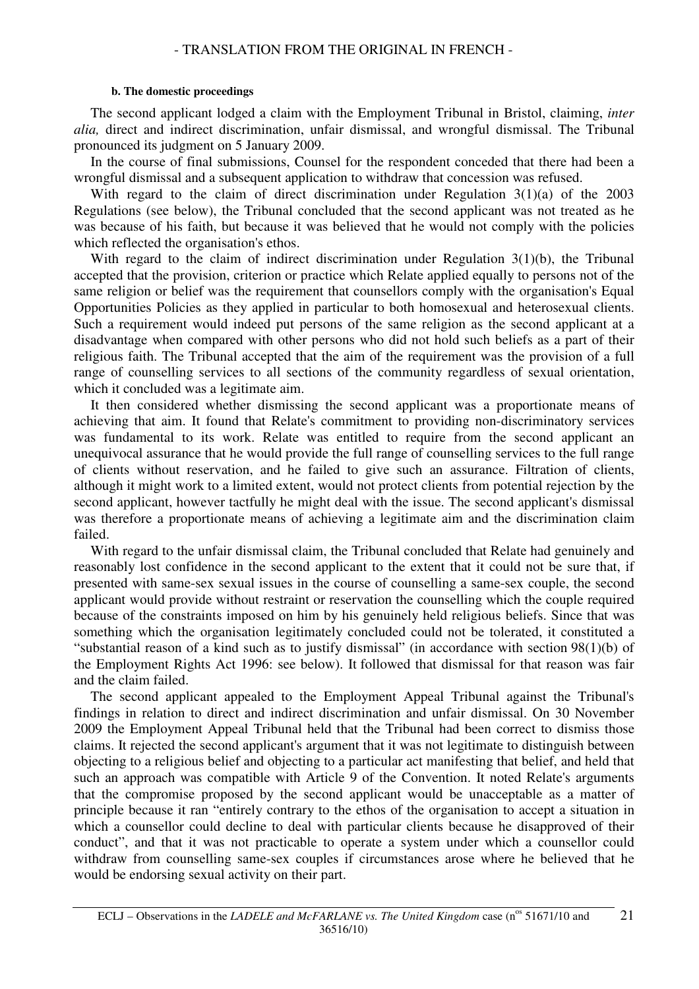#### **b. The domestic proceedings**

The second applicant lodged a claim with the Employment Tribunal in Bristol, claiming, *inter alia,* direct and indirect discrimination, unfair dismissal, and wrongful dismissal. The Tribunal pronounced its judgment on 5 January 2009.

In the course of final submissions, Counsel for the respondent conceded that there had been a wrongful dismissal and a subsequent application to withdraw that concession was refused.

With regard to the claim of direct discrimination under Regulation 3(1)(a) of the 2003 Regulations (see below), the Tribunal concluded that the second applicant was not treated as he was because of his faith, but because it was believed that he would not comply with the policies which reflected the organisation's ethos.

With regard to the claim of indirect discrimination under Regulation 3(1)(b), the Tribunal accepted that the provision, criterion or practice which Relate applied equally to persons not of the same religion or belief was the requirement that counsellors comply with the organisation's Equal Opportunities Policies as they applied in particular to both homosexual and heterosexual clients. Such a requirement would indeed put persons of the same religion as the second applicant at a disadvantage when compared with other persons who did not hold such beliefs as a part of their religious faith. The Tribunal accepted that the aim of the requirement was the provision of a full range of counselling services to all sections of the community regardless of sexual orientation, which it concluded was a legitimate aim.

It then considered whether dismissing the second applicant was a proportionate means of achieving that aim. It found that Relate's commitment to providing non-discriminatory services was fundamental to its work. Relate was entitled to require from the second applicant an unequivocal assurance that he would provide the full range of counselling services to the full range of clients without reservation, and he failed to give such an assurance. Filtration of clients, although it might work to a limited extent, would not protect clients from potential rejection by the second applicant, however tactfully he might deal with the issue. The second applicant's dismissal was therefore a proportionate means of achieving a legitimate aim and the discrimination claim failed.

With regard to the unfair dismissal claim, the Tribunal concluded that Relate had genuinely and reasonably lost confidence in the second applicant to the extent that it could not be sure that, if presented with same-sex sexual issues in the course of counselling a same-sex couple, the second applicant would provide without restraint or reservation the counselling which the couple required because of the constraints imposed on him by his genuinely held religious beliefs. Since that was something which the organisation legitimately concluded could not be tolerated, it constituted a "substantial reason of a kind such as to justify dismissal" (in accordance with section 98(1)(b) of the Employment Rights Act 1996: see below). It followed that dismissal for that reason was fair and the claim failed.

The second applicant appealed to the Employment Appeal Tribunal against the Tribunal's findings in relation to direct and indirect discrimination and unfair dismissal. On 30 November 2009 the Employment Appeal Tribunal held that the Tribunal had been correct to dismiss those claims. It rejected the second applicant's argument that it was not legitimate to distinguish between objecting to a religious belief and objecting to a particular act manifesting that belief, and held that such an approach was compatible with Article 9 of the Convention. It noted Relate's arguments that the compromise proposed by the second applicant would be unacceptable as a matter of principle because it ran "entirely contrary to the ethos of the organisation to accept a situation in which a counsellor could decline to deal with particular clients because he disapproved of their conduct", and that it was not practicable to operate a system under which a counsellor could withdraw from counselling same-sex couples if circumstances arose where he believed that he would be endorsing sexual activity on their part.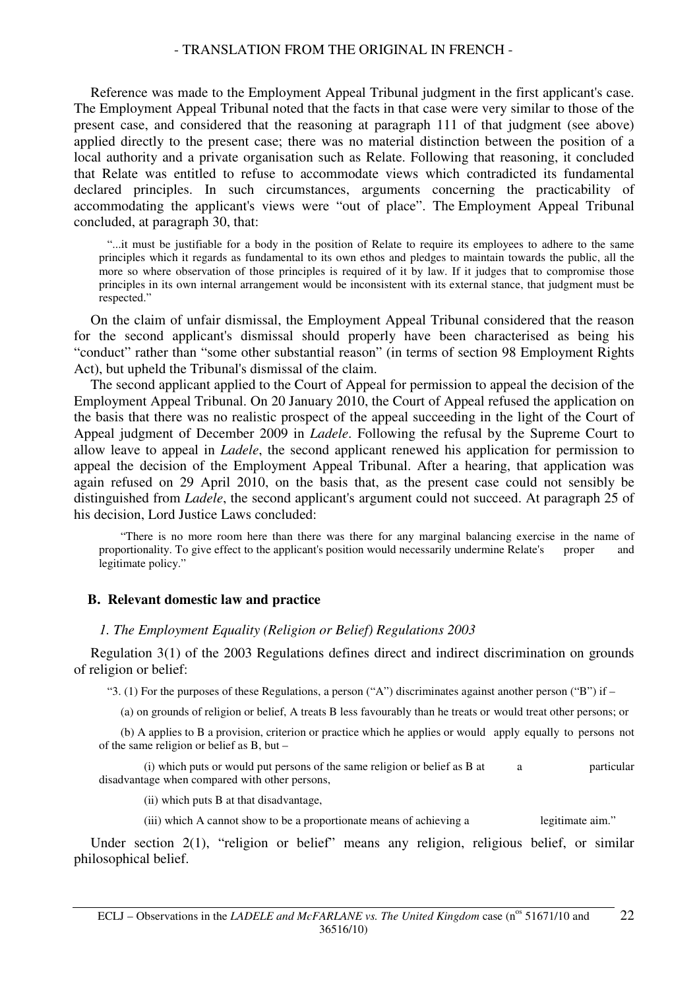Reference was made to the Employment Appeal Tribunal judgment in the first applicant's case. The Employment Appeal Tribunal noted that the facts in that case were very similar to those of the present case, and considered that the reasoning at paragraph 111 of that judgment (see above) applied directly to the present case; there was no material distinction between the position of a local authority and a private organisation such as Relate. Following that reasoning, it concluded that Relate was entitled to refuse to accommodate views which contradicted its fundamental declared principles. In such circumstances, arguments concerning the practicability of accommodating the applicant's views were "out of place". The Employment Appeal Tribunal concluded, at paragraph 30, that:

"...it must be justifiable for a body in the position of Relate to require its employees to adhere to the same principles which it regards as fundamental to its own ethos and pledges to maintain towards the public, all the more so where observation of those principles is required of it by law. If it judges that to compromise those principles in its own internal arrangement would be inconsistent with its external stance, that judgment must be respected."

On the claim of unfair dismissal, the Employment Appeal Tribunal considered that the reason for the second applicant's dismissal should properly have been characterised as being his "conduct" rather than "some other substantial reason" (in terms of section 98 Employment Rights Act), but upheld the Tribunal's dismissal of the claim.

The second applicant applied to the Court of Appeal for permission to appeal the decision of the Employment Appeal Tribunal. On 20 January 2010, the Court of Appeal refused the application on the basis that there was no realistic prospect of the appeal succeeding in the light of the Court of Appeal judgment of December 2009 in *Ladele*. Following the refusal by the Supreme Court to allow leave to appeal in *Ladele*, the second applicant renewed his application for permission to appeal the decision of the Employment Appeal Tribunal. After a hearing, that application was again refused on 29 April 2010, on the basis that, as the present case could not sensibly be distinguished from *Ladele*, the second applicant's argument could not succeed. At paragraph 25 of his decision, Lord Justice Laws concluded:

 "There is no more room here than there was there for any marginal balancing exercise in the name of proportionality. To give effect to the applicant's position would necessarily undermine Relate's proper and legitimate policy."

#### **B. Relevant domestic law and practice**

#### *1. The Employment Equality (Religion or Belief) Regulations 2003*

Regulation 3(1) of the 2003 Regulations defines direct and indirect discrimination on grounds of religion or belief:

"3. (1) For the purposes of these Regulations, a person ("A") discriminates against another person ("B") if  $-$ 

(a) on grounds of religion or belief, A treats B less favourably than he treats or would treat other persons; or

 (b) A applies to B a provision, criterion or practice which he applies or would apply equally to persons not of the same religion or belief as B, but –

 (i) which puts or would put persons of the same religion or belief as B at a particular disadvantage when compared with other persons,

(ii) which puts B at that disadvantage,

(iii) which A cannot show to be a proportionate means of achieving a legitimate aim."

Under section 2(1), "religion or belief" means any religion, religious belief, or similar philosophical belief.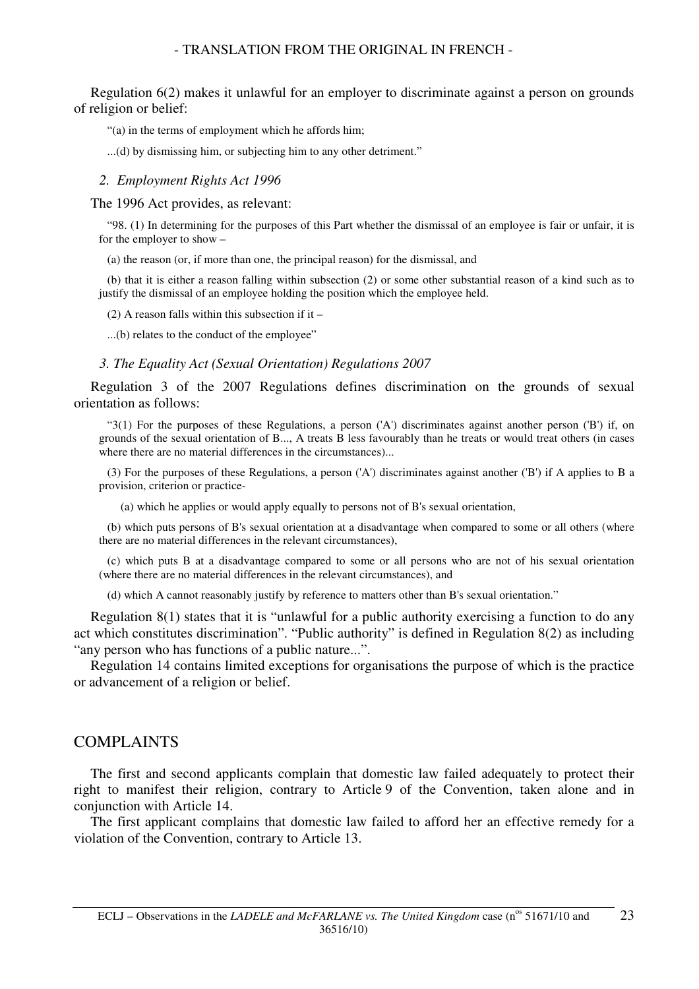Regulation 6(2) makes it unlawful for an employer to discriminate against a person on grounds of religion or belief:

"(a) in the terms of employment which he affords him;

...(d) by dismissing him, or subjecting him to any other detriment."

*2. Employment Rights Act 1996* 

The 1996 Act provides, as relevant:

"98. (1) In determining for the purposes of this Part whether the dismissal of an employee is fair or unfair, it is for the employer to show –

(a) the reason (or, if more than one, the principal reason) for the dismissal, and

(b) that it is either a reason falling within subsection (2) or some other substantial reason of a kind such as to justify the dismissal of an employee holding the position which the employee held.

(2) A reason falls within this subsection if it  $-$ 

...(b) relates to the conduct of the employee"

#### *3. The Equality Act (Sexual Orientation) Regulations 2007*

Regulation 3 of the 2007 Regulations defines discrimination on the grounds of sexual orientation as follows:

"3(1) For the purposes of these Regulations, a person  $(A)$  discriminates against another person  $(B)$  if, on grounds of the sexual orientation of B..., A treats B less favourably than he treats or would treat others (in cases where there are no material differences in the circumstances)...

(3) For the purposes of these Regulations, a person ('A') discriminates against another ('B') if A applies to B a provision, criterion or practice-

(a) which he applies or would apply equally to persons not of B's sexual orientation,

(b) which puts persons of B's sexual orientation at a disadvantage when compared to some or all others (where there are no material differences in the relevant circumstances),

(c) which puts B at a disadvantage compared to some or all persons who are not of his sexual orientation (where there are no material differences in the relevant circumstances), and

(d) which A cannot reasonably justify by reference to matters other than B's sexual orientation."

Regulation 8(1) states that it is "unlawful for a public authority exercising a function to do any act which constitutes discrimination". "Public authority" is defined in Regulation 8(2) as including "any person who has functions of a public nature...".

Regulation 14 contains limited exceptions for organisations the purpose of which is the practice or advancement of a religion or belief.

## COMPLAINTS

The first and second applicants complain that domestic law failed adequately to protect their right to manifest their religion, contrary to Article 9 of the Convention, taken alone and in conjunction with Article 14.

The first applicant complains that domestic law failed to afford her an effective remedy for a violation of the Convention, contrary to Article 13.